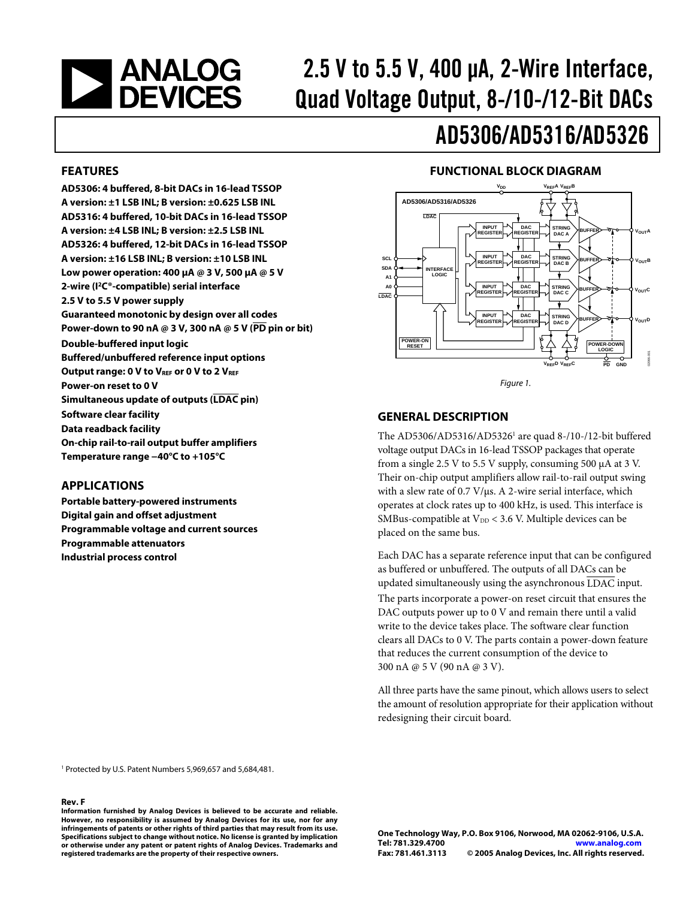# **EXAMALOG**<br>DEVICES

# 2.5 V to 5.5 V, 400 μA, 2-Wire Interface, Quad Voltage Output, 8-/10-/12-Bit DACs

## AD5306/AD5316/AD5326

#### **FEATURES**

**AD5306: 4 buffered, 8-bit DACs in 16-lead TSSOP A version: ±1 LSB INL; B version: ±0.625 LSB INL AD5316: 4 buffered, 10-bit DACs in 16-lead TSSOP A version: ±4 LSB INL; B version: ±2.5 LSB INL AD5326: 4 buffered, 12-bit DACs in 16-lead TSSOP A version: ±16 LSB INL; B version: ±10 LSB INL Low power operation: 400 μA @ 3 V, 500 μA @ 5 V 2-wire (I2C®-compatible) serial interface 2.5 V to 5.5 V power supply Guaranteed monotonic by design over all codes Power-down to 90 nA @ 3 V, 300 nA @ 5 V (PD pin or bit) Double-buffered input logic Buffered/unbuffered reference input options Output range: 0 V to VREF or 0 V to 2 VREF Power-on reset to 0 V Simultaneous update of outputs (LDAC pin) Software clear facility Data readback facility On-chip rail-to-rail output buffer amplifiers Temperature range −40°C to +105°C** 

### <span id="page-0-0"></span>**APPLICATIONS**

**Portable battery-powered instruments Digital gain and offset adjustment Programmable voltage and current sources Programmable attenuators Industrial process control** 

### **FUNCTIONAL BLOCK DIAGRAM**



Figure 1.

#### **GENERAL DESCRIPTION**

The AD5306/AD5316/AD5326<sup>1</sup> are quad 8-/10-/12-bit buffered voltage output DACs in 16-lead TSSOP packages that operate from a single 2.5 V to 5.5 V supply, consuming 500 μA at 3 V. Their on-chip output amplifiers allow rail-to-rail output swing with a slew rate of 0.7 V/μs. A 2-wire serial interface, which operates at clock rates up to 400 kHz, is used. This interface is SMBus-compatible at  $V_{DD}$  < 3.6 V. Multiple devices can be placed on the same bus.

Each DAC has a separate reference input that can be configured as buffered or unbuffered. The outputs of all DACs can be updated simultaneously using the asynchronous LDAC input. The parts incorporate a power-on reset circuit that ensures the DAC outputs power up to 0 V and remain there until a valid write to the device takes place. The software clear function clears all DACs to 0 V. The parts contain a power-down feature that reduces the current consumption of the device to 300 nA @ 5 V (90 nA @ 3 V).

All three parts have the same pinout, which allows users to select the amount of resolution appropriate for their application without redesigning their circuit board.

1 Protected by U.S. Patent Numbers 5,969,657 and 5,684,481.

#### **Rev. F**

**Information furnished by Analog Devices is believed to be accurate and reliable. However, no responsibility is assumed by Analog Devices for its use, nor for any infringements of patents or other rights of third parties that may result from its use. Specifications subject to change without notice. No license is granted by implication or otherwise under any patent or patent rights of Analog Devices. Trademarks and registered trademarks are the property of their respective owners.**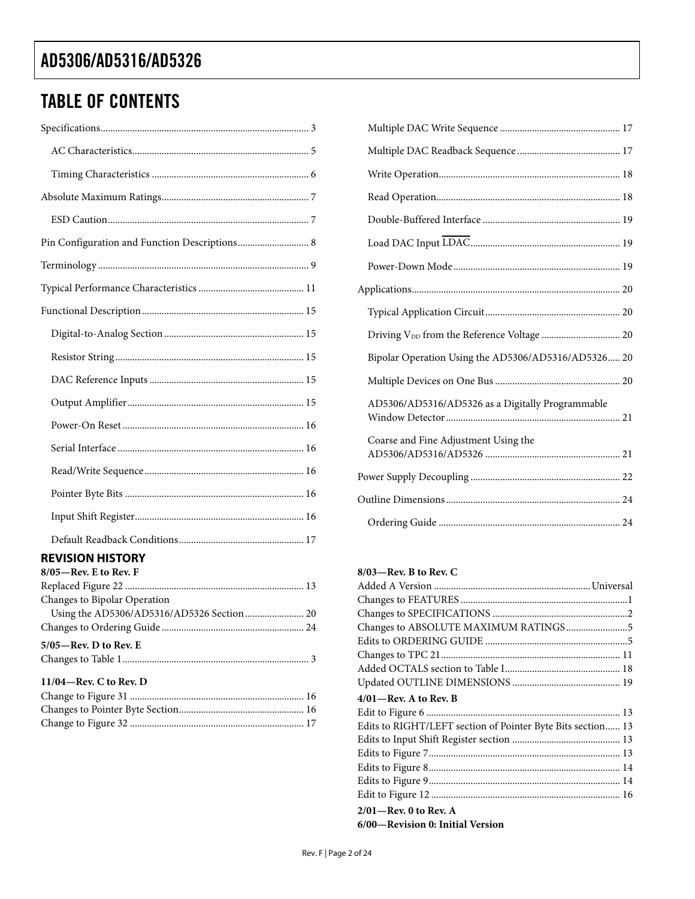### TABLE OF CONTENTS

| Pin Configuration and Function Descriptions 8       |
|-----------------------------------------------------|
|                                                     |
|                                                     |
|                                                     |
|                                                     |
|                                                     |
|                                                     |
|                                                     |
|                                                     |
|                                                     |
|                                                     |
|                                                     |
|                                                     |
|                                                     |
| <b>REVISION HISTORY</b><br>$8/05$ —Rev. E to Rev. F |
| Changes to Bipolar Operation                        |
|                                                     |
| 5/05—Rev. D to Rev. E                               |
| $11/04$ -Rev. C to Rev. D                           |

| Bipolar Operation Using the AD5306/AD5316/AD5326 20 |
|-----------------------------------------------------|
|                                                     |
| AD5306/AD5316/AD5326 as a Digitally Programmable    |
| Coarse and Fine Adjustment Using the                |
|                                                     |
|                                                     |
|                                                     |

### **8/03—Rev. B to Rev. C**

| Changes to ABSOLUTE MAXIMUM RATINGS5                        |  |
|-------------------------------------------------------------|--|
|                                                             |  |
|                                                             |  |
|                                                             |  |
|                                                             |  |
| $4/01$ —Rev. A to Rev. B                                    |  |
|                                                             |  |
| Edits to RIGHT/LEFT section of Pointer Byte Bits section 13 |  |
|                                                             |  |
|                                                             |  |
|                                                             |  |
|                                                             |  |
|                                                             |  |
| $2/01$ —Rev. 0 to Rev. A                                    |  |
| 6/00-Revision 0: Initial Version                            |  |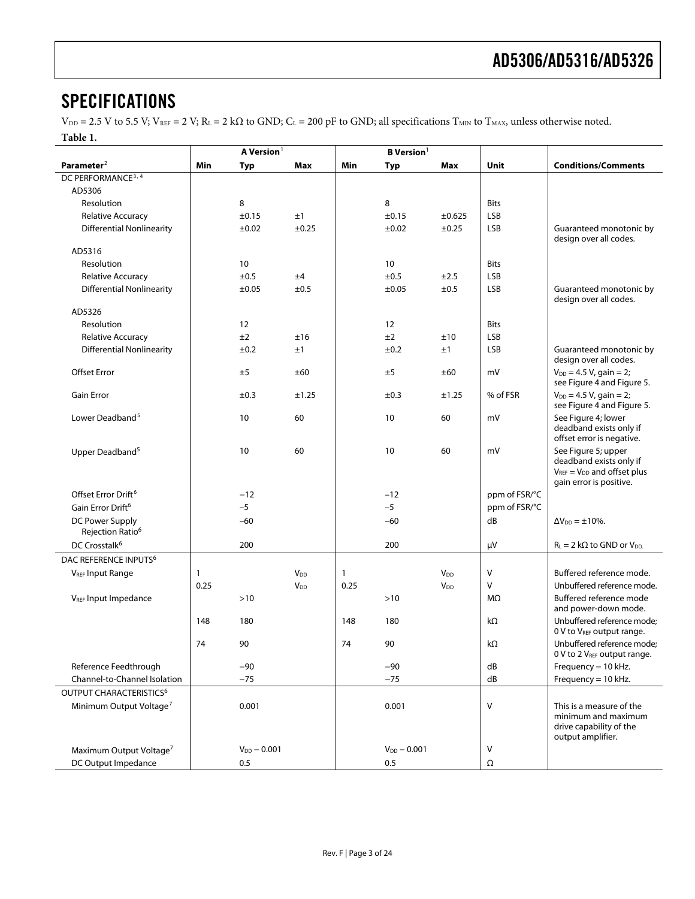### <span id="page-2-0"></span>**SPECIFICATIONS**

 $V_{DD} = 2.5$  V to 5.5 V;  $V_{REF} = 2$  V;  $R_L = 2$  k $\Omega$  to GND;  $C_L = 200$  pF to GND; all specifications  $T_{MIN}$  to  $T_{MAX}$ , unless otherwise noted. **Table 1.** 

| Parameter <sup>2</sup><br><b>Conditions/Comments</b><br>Min<br>Typ<br>Max<br>Min<br>Max<br>Unit<br><b>Typ</b><br>DC PERFORMANCE <sup>3, 4</sup><br>AD5306                    |  |
|------------------------------------------------------------------------------------------------------------------------------------------------------------------------------|--|
|                                                                                                                                                                              |  |
|                                                                                                                                                                              |  |
|                                                                                                                                                                              |  |
| 8<br>8<br>Resolution<br><b>Bits</b>                                                                                                                                          |  |
| LSB<br>±0.15<br><b>Relative Accuracy</b><br>±0.15<br>±1<br>±0.625                                                                                                            |  |
| <b>Differential Nonlinearity</b><br>±0.02<br>±0.25<br><b>LSB</b><br>Guaranteed monotonic by<br>±0.02<br>±0.25<br>design over all codes.                                      |  |
| AD5316                                                                                                                                                                       |  |
| 10<br>Resolution<br>10<br><b>Bits</b>                                                                                                                                        |  |
| ±0.5<br>±0.5<br><b>LSB</b><br><b>Relative Accuracy</b><br>±4<br>±2.5                                                                                                         |  |
| <b>Differential Nonlinearity</b><br>LSB<br>Guaranteed monotonic by<br>±0.05<br>±0.5<br>±0.05<br>±0.5<br>design over all codes.                                               |  |
| AD5326                                                                                                                                                                       |  |
| 12<br>12<br>Resolution<br><b>Bits</b>                                                                                                                                        |  |
| ±2<br>±2<br>LSB<br><b>Relative Accuracy</b><br>±16<br>±10                                                                                                                    |  |
| <b>Differential Nonlinearity</b><br><b>LSB</b><br>Guaranteed monotonic by<br>±0.2<br>±1<br>±0.2<br>±1<br>design over all codes.                                              |  |
| <b>Offset Error</b><br>±5<br>±60<br>±5<br>±60<br>mV<br>$V_{DD} = 4.5 V$ , gain = 2;<br>see Figure 4 and Figure 5.                                                            |  |
| <b>Gain Error</b><br>% of FSR<br>$V_{DD} = 4.5 V$ , gain = 2;<br>±0.3<br>±1.25<br>±0.3<br>±1.25<br>see Figure 4 and Figure 5.                                                |  |
| Lower Deadband <sup>5</sup><br>See Figure 4; lower<br>10<br>60<br>10<br>60<br>mV<br>deadband exists only if<br>offset error is negative.                                     |  |
| 10<br>60<br>10<br>mV<br>See Figure 5; upper<br>Upper Deadband <sup>5</sup><br>60<br>deadband exists only if<br>$V_{REF} = V_{DD}$ and offset plus<br>gain error is positive. |  |
| Offset Error Drift <sup>6</sup><br>$-12$<br>$-12$<br>ppm of FSR/°C                                                                                                           |  |
| $-5$<br>$-5$<br>Gain Error Drift <sup>6</sup><br>ppm of FSR/°C                                                                                                               |  |
| DC Power Supply<br>$-60$<br>$-60$<br>dB<br>$\Delta V_{DD} = \pm 10\%$ .<br>Rejection Ratio <sup>6</sup>                                                                      |  |
| DC Crosstalk <sup>6</sup><br>200<br>200<br>$R_L = 2 k\Omega$ to GND or $V_{DD}$ .<br>μV                                                                                      |  |
| DAC REFERENCE INPUTS <sup>6</sup>                                                                                                                                            |  |
| <b>VREF Input Range</b><br>V<br>Buffered reference mode.<br><b>V</b> <sub>DD</sub><br>1<br><b>V<sub>DD</sub></b><br>1                                                        |  |
| $\vee$<br>0.25<br>0.25<br>Unbuffered reference mode.<br>V <sub>DD</sub><br><b>V</b> <sub>DD</sub>                                                                            |  |
| V <sub>REF</sub> Input Impedance<br>>10<br>$>10$<br>MΩ<br>Buffered reference mode<br>and power-down mode.                                                                    |  |
| Unbuffered reference mode:<br>180<br>180<br>kΩ<br>148<br>148<br>0 V to VREF output range.                                                                                    |  |
| 74<br>74<br>kΩ<br>Unbuffered reference mode:<br>90<br>90<br>0 V to 2 V <sub>REF</sub> output range.                                                                          |  |
| Reference Feedthrough<br>$-90$<br>$-90$<br>dB<br>Frequency = $10$ kHz.                                                                                                       |  |
| Frequency = 10 kHz.<br>Channel-to-Channel Isolation<br>$-75$<br>$-75$<br>dB                                                                                                  |  |
| OUTPUT CHARACTERISTICS <sup>6</sup>                                                                                                                                          |  |
| Minimum Output Voltage <sup>7</sup><br>V<br>0.001<br>0.001<br>This is a measure of the<br>minimum and maximum<br>drive capability of the<br>output amplifier.                |  |
| $V_{DD} - 0.001$<br>$V_{DD} - 0.001$<br>Maximum Output Voltage <sup>7</sup><br>v                                                                                             |  |
| DC Output Impedance<br>0.5<br>0.5<br>Ω                                                                                                                                       |  |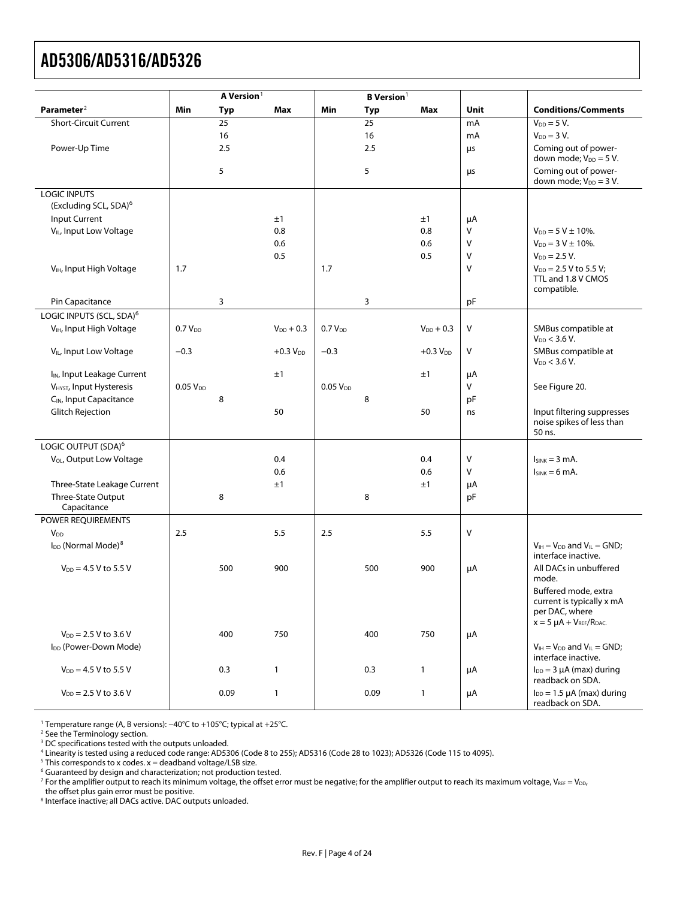<span id="page-3-0"></span>

|                                            |                      | A Version <sup>1</sup> |                |                      | <b>B</b> Version <sup>1</sup> |                |      |                                                               |
|--------------------------------------------|----------------------|------------------------|----------------|----------------------|-------------------------------|----------------|------|---------------------------------------------------------------|
| Parameter <sup>2</sup>                     | Min                  | <b>Typ</b>             | Max            | Min                  | Typ                           | Max            | Unit | <b>Conditions/Comments</b>                                    |
| <b>Short-Circuit Current</b>               |                      | 25                     |                |                      | 25                            |                | mA   | $V_{DD} = 5 V$ .                                              |
|                                            |                      | 16                     |                |                      | 16                            |                | mA   | $V_{DD} = 3 V$ .                                              |
| Power-Up Time                              |                      | 2.5                    |                |                      | 2.5                           |                | μs   | Coming out of power-<br>down mode; $V_{DD} = 5 V$ .           |
|                                            |                      | 5                      |                |                      | 5                             |                | μs   | Coming out of power-<br>down mode; $V_{DD} = 3 V$ .           |
| <b>LOGIC INPUTS</b>                        |                      |                        |                |                      |                               |                |      |                                                               |
| (Excluding SCL, SDA) <sup>6</sup>          |                      |                        |                |                      |                               |                |      |                                                               |
| Input Current                              |                      |                        | ±1             |                      |                               | ±1             | μA   |                                                               |
| V <sub>IL</sub> , Input Low Voltage        |                      |                        | 0.8            |                      |                               | 0.8            | V    | $V_{DD} = 5 V \pm 10\%$ .                                     |
|                                            |                      |                        | 0.6            |                      |                               | 0.6            | V    | $V_{DD} = 3 V \pm 10\%$ .                                     |
|                                            |                      |                        | 0.5            |                      |                               | 0.5            | V    | $V_{DD} = 2.5 V$ .                                            |
| V <sub>IH</sub> , Input High Voltage       | 1.7                  |                        |                | 1.7                  |                               |                | V    | $V_{DD}$ = 2.5 V to 5.5 V;                                    |
|                                            |                      |                        |                |                      |                               |                |      | TTL and 1.8 V CMOS<br>compatible.                             |
| Pin Capacitance                            |                      | 3                      |                |                      | 3                             |                | pF   |                                                               |
| LOGIC INPUTS (SCL, SDA) <sup>6</sup>       |                      |                        |                |                      |                               |                |      |                                                               |
| V <sub>IH</sub> , Input High Voltage       | 0.7 V <sub>DD</sub>  |                        | $V_{DD} + 0.3$ | 0.7V <sub>DD</sub>   |                               | $V_{DD} + 0.3$ | V    | SMBus compatible at<br>$V_{DD}$ < 3.6 V.                      |
| V <sub>IL</sub> , Input Low Voltage        | $-0.3$               |                        | $+0.3 VDD$     | $-0.3$               |                               | $+0.3 VDD$     | V    | SMBus compatible at<br>$V_{DD}$ < 3.6 V.                      |
| I <sub>IN</sub> , Input Leakage Current    |                      |                        | ±1             |                      |                               | ±1             | μA   |                                                               |
| V <sub>HYST</sub> , Input Hysteresis       | 0.05 V <sub>DD</sub> |                        |                | 0.05 V <sub>DD</sub> |                               |                | V    | See Figure 20.                                                |
| C <sub>IN</sub> , Input Capacitance        |                      | 8                      |                |                      | 8                             |                | pF   |                                                               |
| <b>Glitch Rejection</b>                    |                      |                        | 50             |                      |                               | 50             | ns   | Input filtering suppresses                                    |
|                                            |                      |                        |                |                      |                               |                |      | noise spikes of less than<br>50 ns.                           |
| LOGIC OUTPUT (SDA) <sup>6</sup>            |                      |                        |                |                      |                               |                |      |                                                               |
| V <sub>OL</sub> , Output Low Voltage       |                      |                        | 0.4            |                      |                               | 0.4            | V    | $lsink = 3 mA$ .                                              |
|                                            |                      |                        | 0.6            |                      |                               | 0.6            | v    | $I_{SINK} = 6 mA$ .                                           |
| Three-State Leakage Current                |                      |                        | ±1             |                      |                               | ±1             | μA   |                                                               |
| Three-State Output                         |                      | 8                      |                |                      | 8                             |                | pF   |                                                               |
| Capacitance                                |                      |                        |                |                      |                               |                |      |                                                               |
| POWER REQUIREMENTS                         |                      |                        |                |                      |                               |                |      |                                                               |
| <b>V<sub>DD</sub></b>                      | 2.5                  |                        | 5.5            | 2.5                  |                               | 5.5            | V    |                                                               |
| I <sub>DD</sub> (Normal Mode) <sup>8</sup> |                      |                        |                |                      |                               |                |      | $V_{IH} = V_{DD}$ and $V_{IL} = GND$ ;                        |
|                                            |                      |                        |                |                      |                               |                |      | interface inactive.                                           |
| $V_{DD} = 4.5 V$ to 5.5 V                  |                      | 500                    | 900            |                      | 500                           | 900            | μA   | All DACs in unbuffered<br>mode.                               |
|                                            |                      |                        |                |                      |                               |                |      | Buffered mode, extra                                          |
|                                            |                      |                        |                |                      |                               |                |      | current is typically x mA                                     |
|                                            |                      |                        |                |                      |                               |                |      | per DAC, where                                                |
|                                            |                      |                        |                |                      |                               |                |      | $x = 5 \mu A + V_{REF}/R_{DAC.}$                              |
| $V_{DD} = 2.5 V$ to 3.6 V                  |                      | 400                    | 750            |                      | 400                           | 750            | μA   |                                                               |
| I <sub>DD</sub> (Power-Down Mode)          |                      |                        |                |                      |                               |                |      | $V_{IH} = V_{DD}$ and $V_{IL} = GND$ ;<br>interface inactive. |
| $V_{DD} = 4.5 V$ to 5.5 V                  |                      | 0.3                    | $\mathbf{1}$   |                      | 0.3                           | $\mathbf{1}$   | μA   | $I_{DD} = 3 \mu A$ (max) during                               |
|                                            |                      |                        |                |                      |                               |                |      | readback on SDA.                                              |
| $V_{DD} = 2.5 V$ to 3.6 V                  |                      | 0.09                   | $\mathbf{1}$   |                      | 0.09                          | $\overline{1}$ | μA   | $I_{DD} = 1.5 \mu A$ (max) during<br>readback on SDA.         |

1 Temperature range (A, B versions): −40°C to +105°C; typical at +25°C.<br><sup>2</sup> See the Terminology section

<sup>2</sup> See the Terminology section.

<sup>3</sup> DC specifications tested with the outputs unloaded.

ª Linearity is tested using a reduced code range: AD5306 (Code 8 to 255); AD5316 (Code 28 to 1023); AD5326 (Code 115 to 4095).<br><sup>5</sup> This corresponds to x codes. x = deadband voltage/LSB size.<br><sup>6</sup> Guaranteed by design and ch

 $^7$  For the amplifier output to reach its minimum voltage, the offset error must be negative; for the amplifier output to reach its maximum voltage, V $_{\sf{REF}}=$  V $_{\sf{DD}}$ ,

the offset plus gain error must be positive.

8 Interface inactive; all DACs active. DAC outputs unloaded.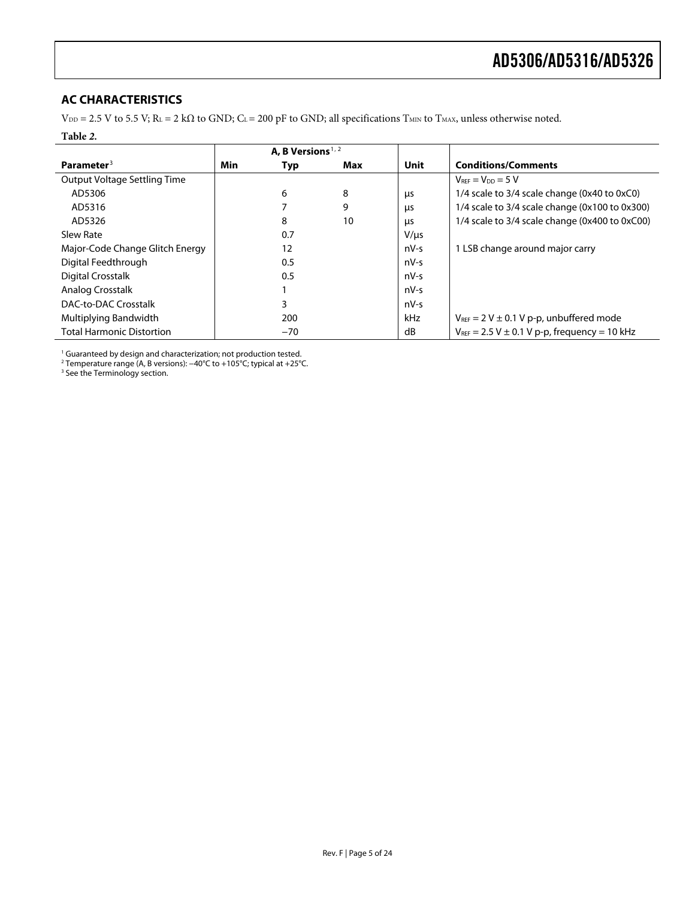### <span id="page-4-0"></span>**AC CHARACTERISTICS**

 $V_{DD} = 2.5$  V to 5.5 V; R<sub>L</sub> = 2 kΩ to GND; C<sub>L</sub> = 200 pF to GND; all specifications T<sub>MIN</sub> to T<sub>MAX</sub>, unless otherwise noted.

#### **Table** *2***.**

|                                  |     | A. B Versions <sup><math>1, 2</math></sup> |     |           |                                                              |
|----------------------------------|-----|--------------------------------------------|-----|-----------|--------------------------------------------------------------|
| Parameter <sup>3</sup>           | Min | Typ                                        | Max | Unit      | <b>Conditions/Comments</b>                                   |
| Output Voltage Settling Time     |     |                                            |     |           | $V_{REF} = V_{DD} = 5 V$                                     |
| AD5306                           |     | 6                                          | 8   | μs        | 1/4 scale to 3/4 scale change (0x40 to 0xC0)                 |
| AD5316                           |     |                                            | 9   | μs        | 1/4 scale to 3/4 scale change (0x100 to 0x300)               |
| AD5326                           |     | 8                                          | 10  | μs        | 1/4 scale to 3/4 scale change (0x400 to 0xC00)               |
| Slew Rate                        |     | 0.7                                        |     | $V/\mu s$ |                                                              |
| Major-Code Change Glitch Energy  |     | 12                                         |     | nV-s      | 1 LSB change around major carry                              |
| Digital Feedthrough              |     | 0.5                                        |     | $nV-S$    |                                                              |
| <b>Digital Crosstalk</b>         |     | 0.5                                        |     | nV-s      |                                                              |
| Analog Crosstalk                 |     |                                            |     | nV-s      |                                                              |
| <b>DAC-to-DAC Crosstalk</b>      |     | 3                                          |     | nV-s      |                                                              |
| Multiplying Bandwidth            |     | 200                                        |     | kHz       | $V_{REF}$ = 2 V $\pm$ 0.1 V p-p, unbuffered mode             |
| <b>Total Harmonic Distortion</b> |     | $-70$                                      |     | dB        | $V_{\text{REF}}$ = 2.5 V $\pm$ 0.1 V p-p, frequency = 10 kHz |

<sup>1</sup> Guaranteed by design and characterization; not production tested.<br><sup>2</sup> Temperature range (A, B versions): −40°C to +105°C; typical at +25°C.<br><sup>3</sup> See the Terminology section.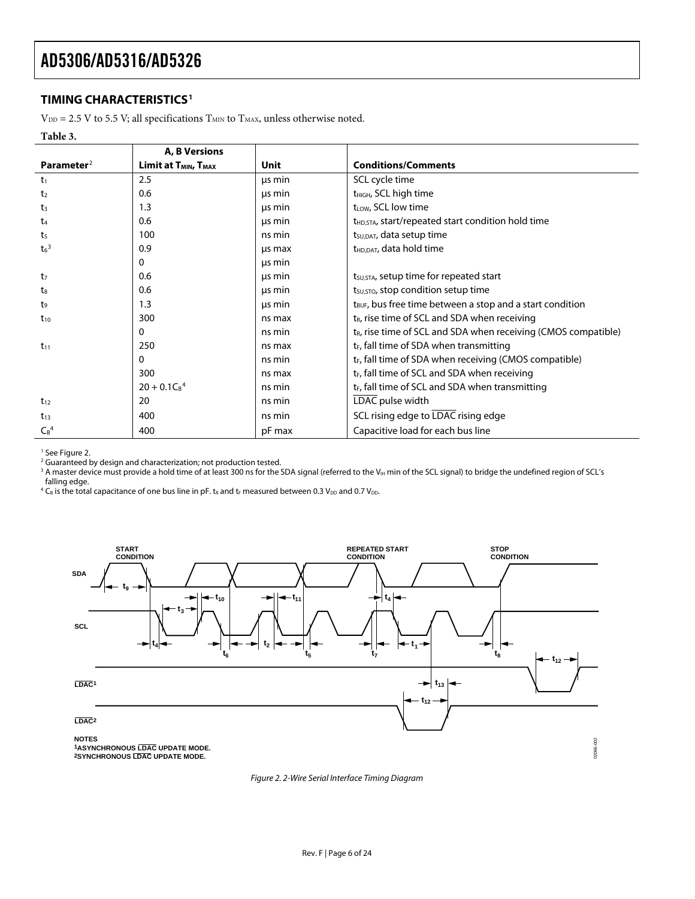### <span id="page-5-0"></span>**TIMING CHARACTERISTICS1**

 $\rm V_{\rm DD}$  = 2.5 V to 5.5 V; all specifications  $\rm T_{\rm MIN}$  to  $\rm T_{\rm MAX}$  unless otherwise noted.

#### **Table 3.**

|                        | A, B Versions                                              |        |                                                                       |
|------------------------|------------------------------------------------------------|--------|-----------------------------------------------------------------------|
| Parameter <sup>2</sup> | <b>Limit at <math>T_{MIN}</math>, <math>T_{MAX}</math></b> | Unit   | <b>Conditions/Comments</b>                                            |
| t <sub>1</sub>         | 2.5                                                        | us min | SCL cycle time                                                        |
| t <sub>2</sub>         | 0.6                                                        | us min | t <sub>HIGH</sub> , SCL high time                                     |
| t <sub>3</sub>         | 1.3                                                        | us min | t <sub>LOW</sub> , SCL low time                                       |
| $t_{4}$                | 0.6                                                        | us min | t <sub>HD,STA</sub> , start/repeated start condition hold time        |
| t <sub>5</sub>         | 100                                                        | ns min | t <sub>su, DAT</sub> , data setup time                                |
| $t_6$ <sup>3</sup>     | 0.9                                                        | us max | t <sub>HD.DAT</sub> , data hold time                                  |
|                        | 0                                                          | us min |                                                                       |
| t <sub>7</sub>         | 0.6                                                        | us min | $t_{\text{SU,STA}}$ , setup time for repeated start                   |
| ts                     | 0.6                                                        | us min | t <sub>su, STO</sub> , stop condition setup time                      |
| t,                     | 1.3                                                        | us min | t <sub>BUF</sub> , bus free time between a stop and a start condition |
| $t_{10}$               | 300                                                        | ns max | t <sub>R</sub> , rise time of SCL and SDA when receiving              |
|                        | 0                                                          | ns min | $t_{R}$ , rise time of SCL and SDA when receiving (CMOS compatible)   |
| $t_{11}$               | 250                                                        | ns max | $t_F$ , fall time of SDA when transmitting                            |
|                        | $\Omega$                                                   | ns min | t <sub>F</sub> , fall time of SDA when receiving (CMOS compatible)    |
|                        | 300                                                        | ns max | $t_F$ , fall time of SCL and SDA when receiving                       |
|                        | $20 + 0.1C_B^4$                                            | ns min | $t_F$ , fall time of SCL and SDA when transmitting                    |
| $t_{12}$               | 20                                                         | ns min | LDAC pulse width                                                      |
| $t_{13}$               | 400                                                        | ns min | SCL rising edge to LDAC rising edge                                   |
| $C_B^4$                | 400                                                        | pF max | Capacitive load for each bus line                                     |

<sup>1</sup> See Figure 2.

<sup>2</sup> Guaranteed by design and characterization; not production tested.

 $^3$  A master device must provide a hold time of at least 300 ns for the SDA signal (referred to the V $_{\rm{H}}$  min of the SCL signal) to bridge the undefined region of SCL's falling edge.

 $^4$  C<sub>B</sub> is the total capacitance of one bus line in pF. t<sub>R</sub> and t<sub>F</sub> measured between 0.3 V<sub>DD</sub> and 0.7 V<sub>DD</sub>.



<span id="page-5-1"></span>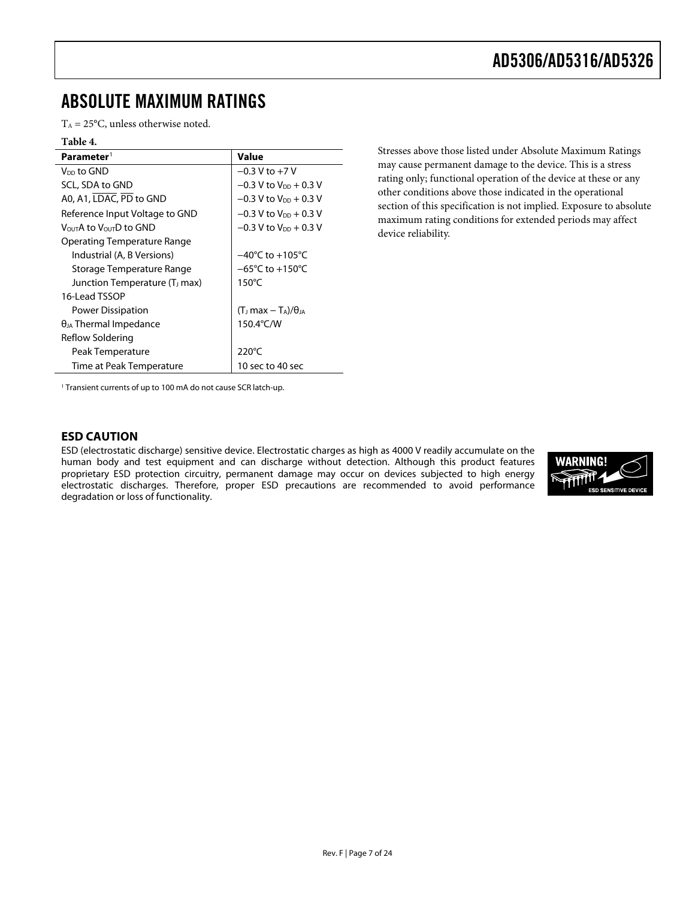### <span id="page-6-0"></span>ABSOLUTE MAXIMUM RATINGS

 $T_A = 25$ °C, unless otherwise noted.

### **Table 4.**

| Parameter <sup>1</sup>                          | Value                               |
|-------------------------------------------------|-------------------------------------|
| Vnn to GND                                      | $-0.3$ V to $+7$ V                  |
| SCL, SDA to GND                                 | $-0.3$ V to $V_{DD}$ + 0.3 V        |
| A0, A1, LDAC, PD to GND                         | $-0.3$ V to $V_{DD}$ + 0.3 V        |
| Reference Input Voltage to GND                  | $-0.3$ V to V <sub>DD</sub> + 0.3 V |
| V <sub>OUT</sub> A to V <sub>OUT</sub> D to GND | $-0.3$ V to V <sub>DD</sub> + 0.3 V |
| Operating Temperature Range                     |                                     |
| Industrial (A, B Versions)                      | $-40^{\circ}$ C to $+105^{\circ}$ C |
| Storage Temperature Range                       | $-65^{\circ}$ C to $+150^{\circ}$ C |
| Junction Temperature (T <sub>J</sub> max)       | $150^{\circ}$ C                     |
| 16-Lead TSSOP                                   |                                     |
| Power Dissipation                               | $(T1 max - TA)/\thetaIA$            |
| $\theta_{JA}$ Thermal Impedance                 | 150.4°C/W                           |
| Reflow Soldering                                |                                     |
| Peak Temperature                                | $220^{\circ}$ C                     |
| Time at Peak Temperature                        | 10 sec to 40 sec                    |
|                                                 |                                     |

Stresses above those listed under Absolute Maximum Ratings may cause permanent damage to the device. This is a stress rating only; functional operation of the device at these or any other conditions above those indicated in the operational section of this specification is not implied. Exposure to absolute maximum rating conditions for extended periods may affect device reliability.

<span id="page-6-1"></span><sup>1</sup> Transient currents of up to 100 mA do not cause SCR latch-up.

### **ESD CAUTION**

ESD (electrostatic discharge) sensitive device. Electrostatic charges as high as 4000 V readily accumulate on the human body and test equipment and can discharge without detection. Although this product features proprietary ESD protection circuitry, permanent damage may occur on devices subjected to high energy electrostatic discharges. Therefore, proper ESD precautions are recommended to avoid performance degradation or loss of functionality.

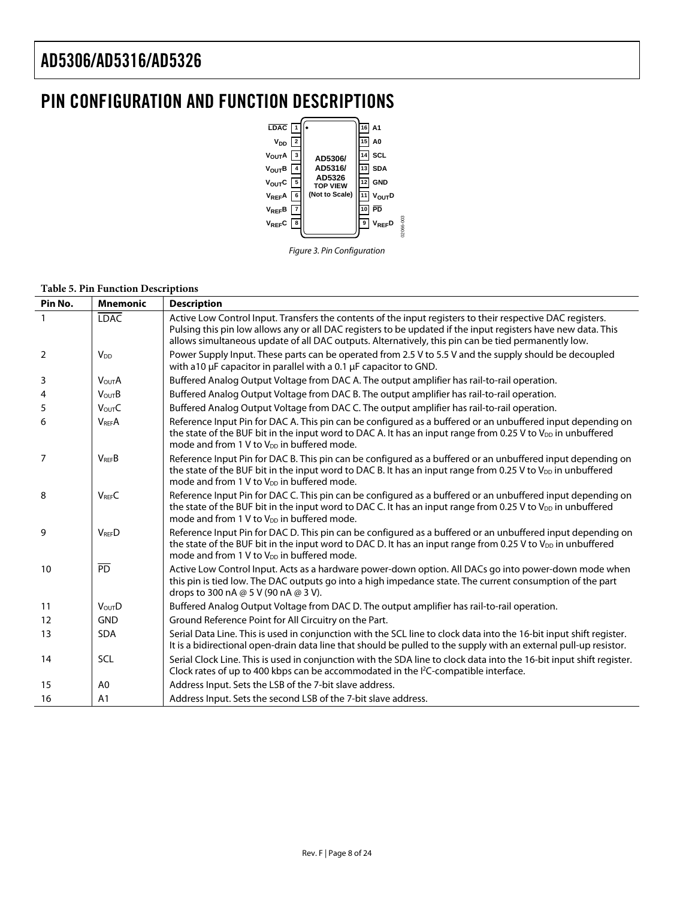### <span id="page-7-0"></span>PIN CONFIGURATION AND FUNCTION DESCRIPTIONS





#### **Table 5. Pin Function Descriptions**

| Pin No.        | <b>Mnemonic</b>    | <b>Description</b>                                                                                                                                                                                                                                                                                                                 |
|----------------|--------------------|------------------------------------------------------------------------------------------------------------------------------------------------------------------------------------------------------------------------------------------------------------------------------------------------------------------------------------|
|                | <b>LDAC</b>        | Active Low Control Input. Transfers the contents of the input registers to their respective DAC registers.<br>Pulsing this pin low allows any or all DAC registers to be updated if the input registers have new data. This<br>allows simultaneous update of all DAC outputs. Alternatively, this pin can be tied permanently low. |
| $\overline{2}$ | V <sub>DD</sub>    | Power Supply Input. These parts can be operated from 2.5 V to 5.5 V and the supply should be decoupled<br>with a10 µF capacitor in parallel with a 0.1 µF capacitor to GND.                                                                                                                                                        |
| 3              | <b>VOUTA</b>       | Buffered Analog Output Voltage from DAC A. The output amplifier has rail-to-rail operation.                                                                                                                                                                                                                                        |
| 4              | <b>VOUTB</b>       | Buffered Analog Output Voltage from DAC B. The output amplifier has rail-to-rail operation.                                                                                                                                                                                                                                        |
| 5              | V <sub>OUT</sub> C | Buffered Analog Output Voltage from DAC C. The output amplifier has rail-to-rail operation.                                                                                                                                                                                                                                        |
| 6              | <b>VREFA</b>       | Reference Input Pin for DAC A. This pin can be configured as a buffered or an unbuffered input depending on<br>the state of the BUF bit in the input word to DAC A. It has an input range from 0.25 V to V <sub>DD</sub> in unbuffered<br>mode and from 1 V to V <sub>DD</sub> in buffered mode.                                   |
| 7              | $V_{RFF}B$         | Reference Input Pin for DAC B. This pin can be configured as a buffered or an unbuffered input depending on<br>the state of the BUF bit in the input word to DAC B. It has an input range from 0.25 V to V <sub>DD</sub> in unbuffered<br>mode and from 1 V to $V_{DD}$ in buffered mode.                                          |
| 8              | <b>VRFFC</b>       | Reference Input Pin for DAC C. This pin can be configured as a buffered or an unbuffered input depending on<br>the state of the BUF bit in the input word to DAC C. It has an input range from 0.25 V to $V_{DD}$ in unbuffered<br>mode and from 1 V to $V_{DD}$ in buffered mode.                                                 |
| 9              | <b>VREED</b>       | Reference Input Pin for DAC D. This pin can be configured as a buffered or an unbuffered input depending on<br>the state of the BUF bit in the input word to DAC D. It has an input range from 0.25 V to $V_{DD}$ in unbuffered<br>mode and from 1 V to V <sub>DD</sub> in buffered mode.                                          |
| 10             | $\overline{PD}$    | Active Low Control Input. Acts as a hardware power-down option. All DACs go into power-down mode when<br>this pin is tied low. The DAC outputs go into a high impedance state. The current consumption of the part<br>drops to 300 nA @ 5 V (90 nA @ 3 V).                                                                         |
| 11             | <b>VOUTD</b>       | Buffered Analog Output Voltage from DAC D. The output amplifier has rail-to-rail operation.                                                                                                                                                                                                                                        |
| 12             | <b>GND</b>         | Ground Reference Point for All Circuitry on the Part.                                                                                                                                                                                                                                                                              |
| 13             | <b>SDA</b>         | Serial Data Line. This is used in conjunction with the SCL line to clock data into the 16-bit input shift register.<br>It is a bidirectional open-drain data line that should be pulled to the supply with an external pull-up resistor.                                                                                           |
| 14             | <b>SCL</b>         | Serial Clock Line. This is used in conjunction with the SDA line to clock data into the 16-bit input shift register.<br>Clock rates of up to 400 kbps can be accommodated in the I <sup>2</sup> C-compatible interface.                                                                                                            |
| 15             | A <sub>0</sub>     | Address Input. Sets the LSB of the 7-bit slave address.                                                                                                                                                                                                                                                                            |
| 16             | A1                 | Address Input. Sets the second LSB of the 7-bit slave address.                                                                                                                                                                                                                                                                     |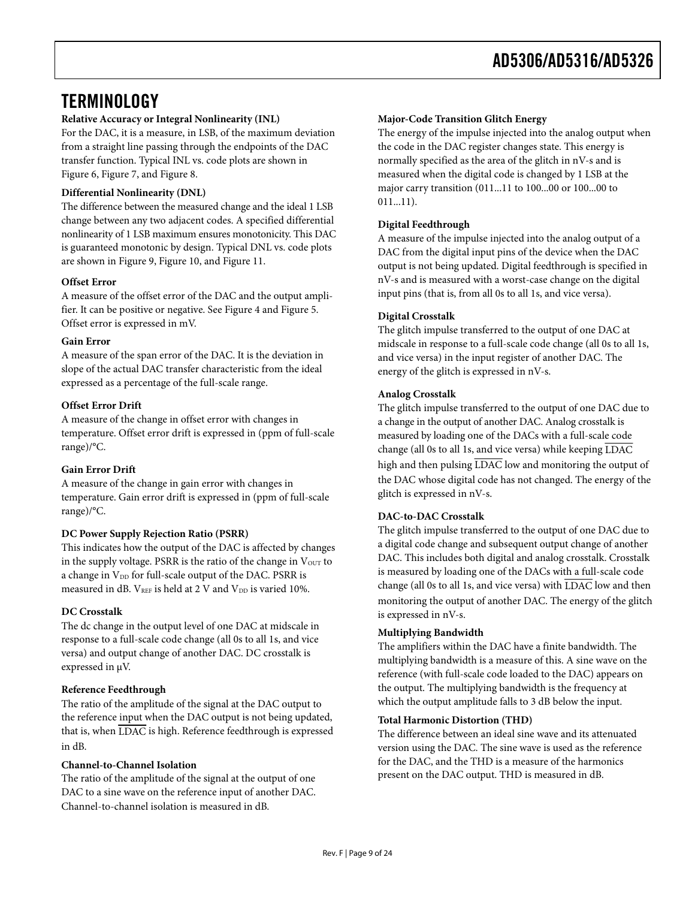### <span id="page-8-0"></span>**TERMINOLOGY**

### **Relative Accuracy or Integral Nonlinearity (INL)**

For the DAC, it is a measure, in LSB, of the maximum deviation from a straight line passing through the endpoints of the DAC transfer function. Typical INL vs. code plots are shown in [Figure 6](#page-10-1), [Figure 7](#page-10-2), and [Figure 8](#page-10-3).

#### **Differential Nonlinearity (DNL)**

The difference between the measured change and the ideal 1 LSB change between any two adjacent codes. A specified differential nonlinearity of 1 LSB maximum ensures monotonicity. This DAC is guaranteed monotonic by design. Typical DNL vs. code plots are shown in [Figure 9,](#page-10-1) [Figure 10](#page-10-2), and [Figure 11.](#page-10-3)

### **Offset Error**

A measure of the offset error of the DAC and the output amplifier. It can be positive or negative. See [Figure 4](#page-9-0) and [Figure 5](#page-9-1). Offset error is expressed in mV.

### **Gain Error**

A measure of the span error of the DAC. It is the deviation in slope of the actual DAC transfer characteristic from the ideal expressed as a percentage of the full-scale range.

### **Offset Error Drift**

A measure of the change in offset error with changes in temperature. Offset error drift is expressed in (ppm of full-scale range)/°C.

### **Gain Error Drift**

A measure of the change in gain error with changes in temperature. Gain error drift is expressed in (ppm of full-scale range)/°C.

### **DC Power Supply Rejection Ratio (PSRR)**

This indicates how the output of the DAC is affected by changes in the supply voltage. PSRR is the ratio of the change in  $V_{\text{OUT}}$  to a change in V<sub>DD</sub> for full-scale output of the DAC. PSRR is measured in dB.  $V_{REF}$  is held at 2 V and  $V_{DD}$  is varied 10%.

#### **DC Crosstalk**

The dc change in the output level of one DAC at midscale in response to a full-scale code change (all 0s to all 1s, and vice versa) and output change of another DAC. DC crosstalk is expressed in μV.

#### **Reference Feedthrough**

The ratio of the amplitude of the signal at the DAC output to the reference input when the DAC output is not being updated, that is, when LDAC is high. Reference feedthrough is expressed in dB.

#### **Channel-to-Channel Isolation**

The ratio of the amplitude of the signal at the output of one DAC to a sine wave on the reference input of another DAC. Channel-to-channel isolation is measured in dB.

#### **Major-Code Transition Glitch Energy**

The energy of the impulse injected into the analog output when the code in the DAC register changes state. This energy is normally specified as the area of the glitch in nV-s and is measured when the digital code is changed by 1 LSB at the major carry transition (011...11 to 100...00 or 100...00 to 011...11).

### **Digital Feedthrough**

A measure of the impulse injected into the analog output of a DAC from the digital input pins of the device when the DAC output is not being updated. Digital feedthrough is specified in nV-s and is measured with a worst-case change on the digital input pins (that is, from all 0s to all 1s, and vice versa).

### **Digital Crosstalk**

The glitch impulse transferred to the output of one DAC at midscale in response to a full-scale code change (all 0s to all 1s, and vice versa) in the input register of another DAC. The energy of the glitch is expressed in nV-s.

### **Analog Crosstalk**

The glitch impulse transferred to the output of one DAC due to a change in the output of another DAC. Analog crosstalk is measured by loading one of the DACs with a full-scale code change (all 0s to all 1s, and vice versa) while keeping LDAC high and then pulsing LDAC low and monitoring the output of the DAC whose digital code has not changed. The energy of the glitch is expressed in nV-s.

#### **DAC-to-DAC Crosstalk**

The glitch impulse transferred to the output of one DAC due to a digital code change and subsequent output change of another DAC. This includes both digital and analog crosstalk. Crosstalk is measured by loading one of the DACs with a full-scale code change (all 0s to all 1s, and vice versa) with LDAC low and then monitoring the output of another DAC. The energy of the glitch is expressed in nV-s.

#### **Multiplying Bandwidth**

The amplifiers within the DAC have a finite bandwidth. The multiplying bandwidth is a measure of this. A sine wave on the reference (with full-scale code loaded to the DAC) appears on the output. The multiplying bandwidth is the frequency at which the output amplitude falls to 3 dB below the input.

#### **Total Harmonic Distortion (THD)**

The difference between an ideal sine wave and its attenuated version using the DAC. The sine wave is used as the reference for the DAC, and the THD is a measure of the harmonics present on the DAC output. THD is measured in dB.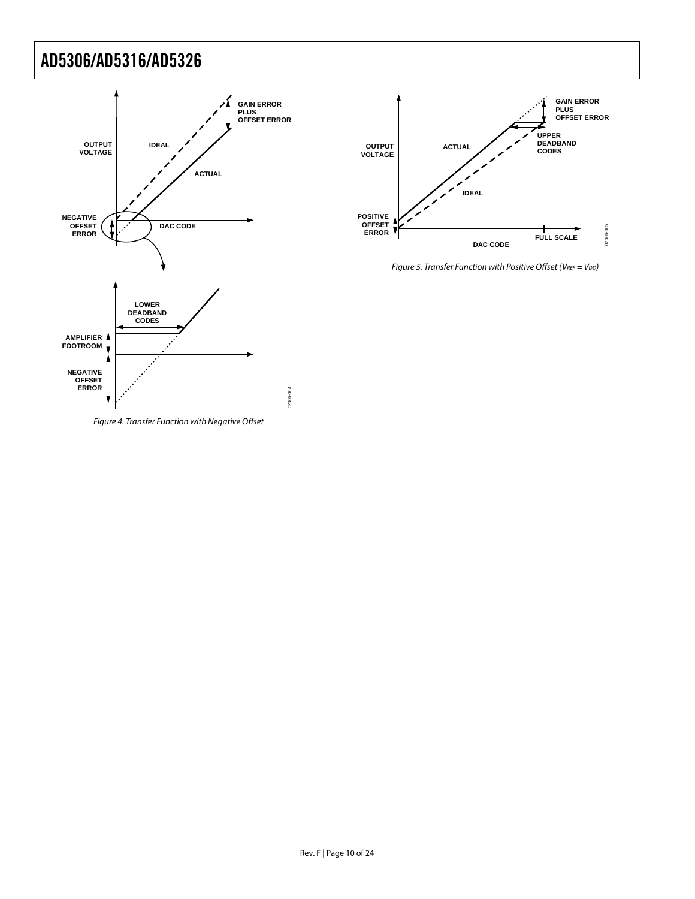



Figure 5. Transfer Function with Positive Offset (VREF =  $V_{DD}$ )

<span id="page-9-1"></span><span id="page-9-0"></span>Figure 4. Transfer Function with Negative Offset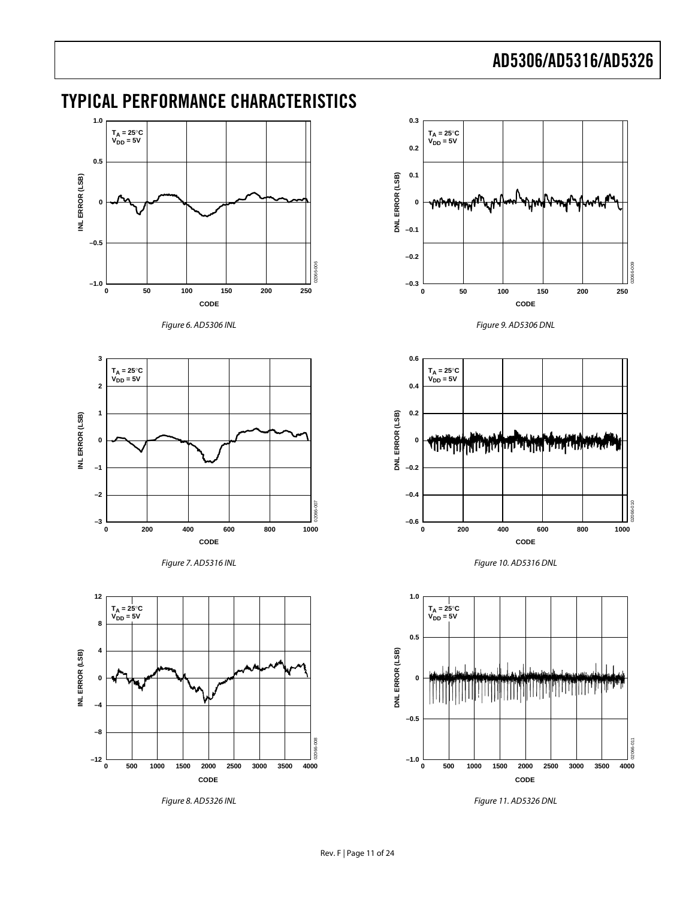### <span id="page-10-0"></span>TYPICAL PERFORMANCE CHARACTERISTICS





<span id="page-10-1"></span>



<span id="page-10-2"></span>

<span id="page-10-3"></span>Figure 8. AD5326 INL



Figure 9. AD5306 DNL







Figure 11. AD5326 DNL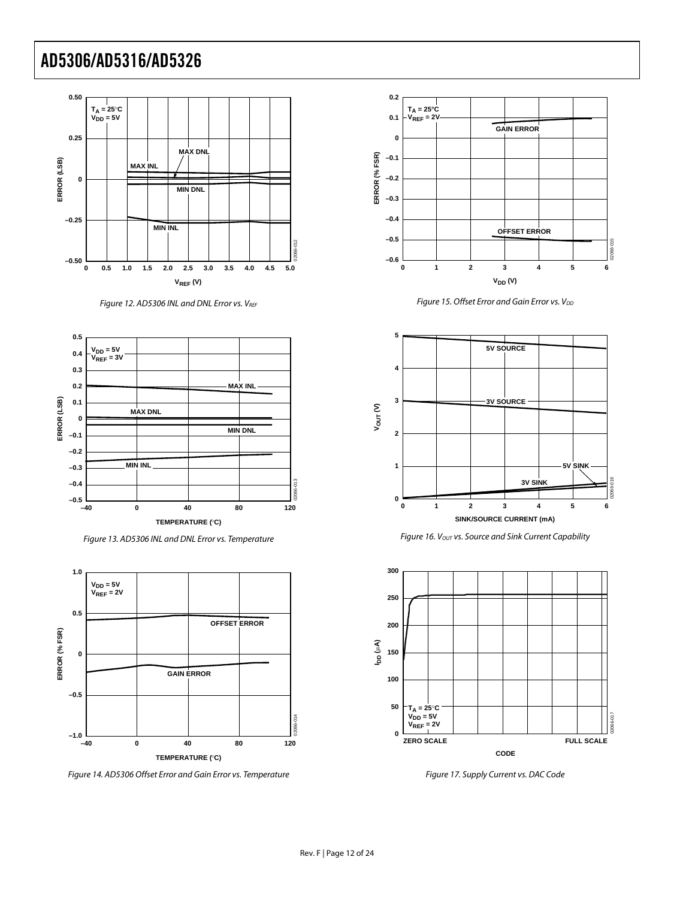

Figure 12. AD5306 INL and DNL Error vs. VREF



Figure 13. AD5306 INL and DNL Error vs. Temperature

<span id="page-11-0"></span>

Figure 14. AD5306 Offset Error and Gain Error vs. Temperature



Figure 15. Offset Error and Gain Error vs. V<sub>DD</sub>



Figure 16.  $V_{OUT}$  vs. Source and Sink Current Capability



Figure 17. Supply Current vs. DAC Code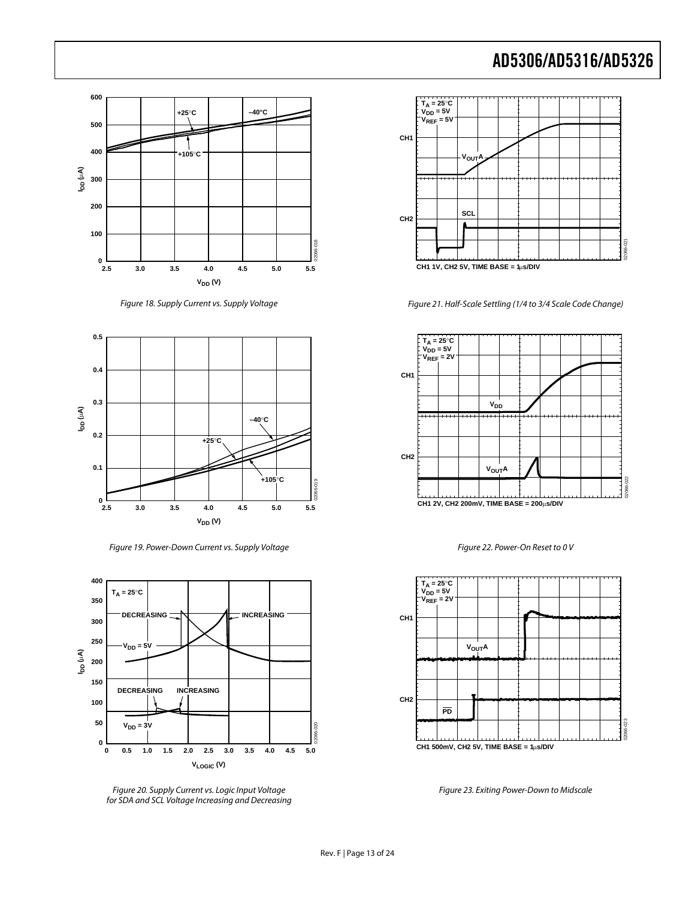

Figure 18. Supply Current vs. Supply Voltage



Figure 19. Power-Down Current vs. Supply Voltage



<span id="page-12-0"></span>Figure 20. Supply Current vs. Logic Input Voltage for SDA and SCL Voltage Increasing and Decreasing



Figure 21. Half-Scale Settling (1/4 to 3/4 Scale Code Change)



Figure 22. Power-On Reset to 0 V



Figure 23. Exiting Power-Down to Midscale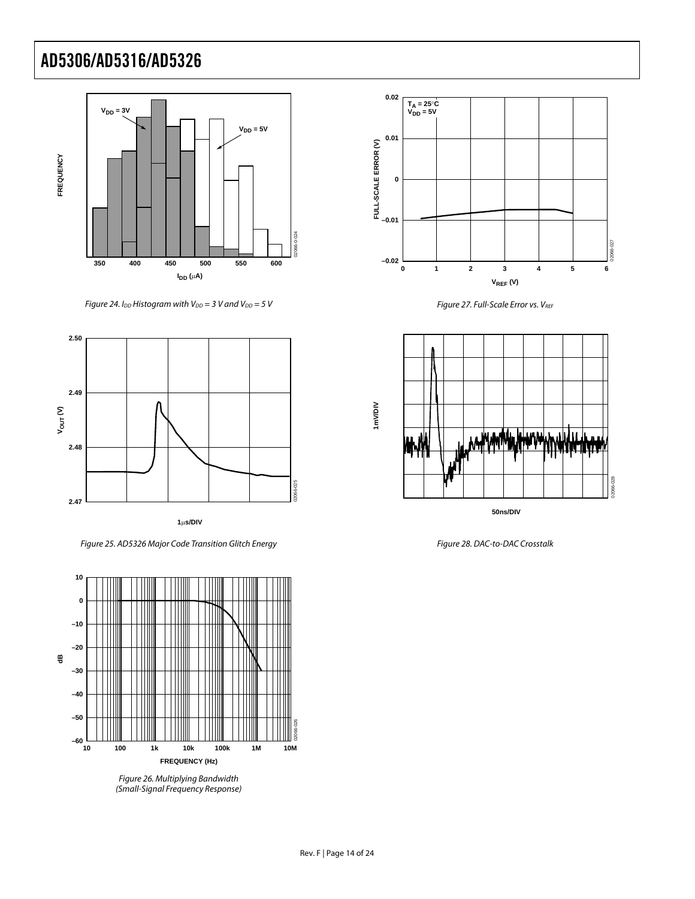

Figure 24. I<sub>DD</sub> Histogram with V<sub>DD</sub> = 3 V and V<sub>DD</sub> = 5 V



Figure 25. AD5326 Major Code Transition Glitch Energy



Figure 26. Multiplying Bandwidth (Small-Signal Frequency Response)



Figure 27. Full-Scale Error vs. VREF



Figure 28. DAC-to-DAC Crosstalk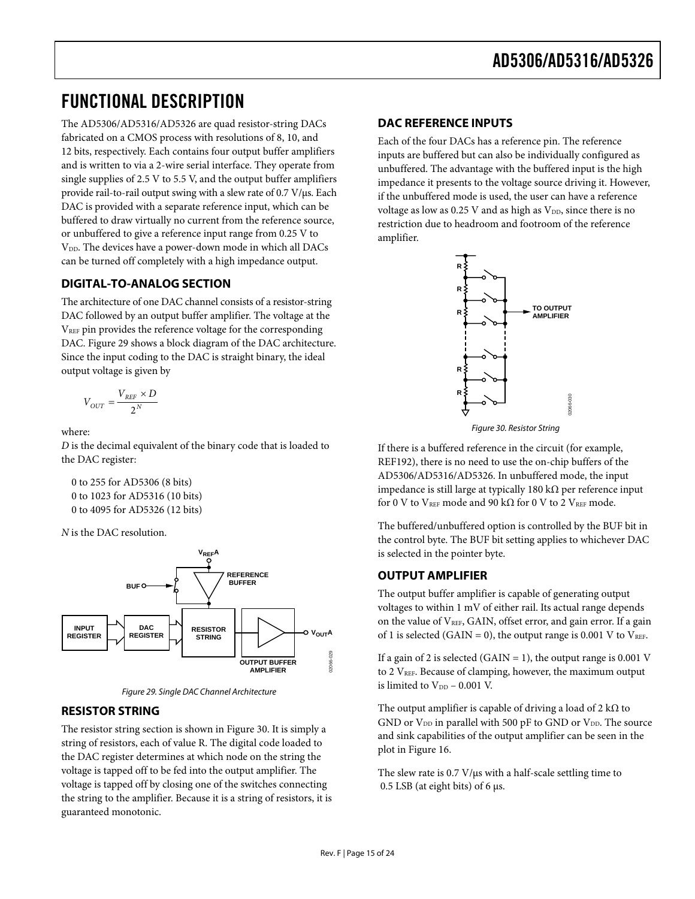### <span id="page-14-0"></span>FUNCTIONAL DESCRIPTION

The AD5306/AD5316/AD5326 are quad resistor-string DACs fabricated on a CMOS process with resolutions of 8, 10, and 12 bits, respectively. Each contains four output buffer amplifiers and is written to via a 2-wire serial interface. They operate from single supplies of 2.5 V to 5.5 V, and the output buffer amplifiers provide rail-to-rail output swing with a slew rate of 0.7 V/μs. Each DAC is provided with a separate reference input, which can be buffered to draw virtually no current from the reference source, or unbuffered to give a reference input range from 0.25 V to V<sub>DD</sub>. The devices have a power-down mode in which all DACs can be turned off completely with a high impedance output.

### **DIGITAL-TO-ANALOG SECTION**

The architecture of one DAC channel consists of a resistor-string DAC followed by an output buffer amplifier. The voltage at the VREF pin provides the reference voltage for the corresponding DAC. [Figure 29](#page-14-1) shows a block diagram of the DAC architecture. Since the input coding to the DAC is straight binary, the ideal output voltage is given by

$$
V_{OUT} = \frac{V_{REF} \times D}{2^N}
$$

<span id="page-14-2"></span>where:

*D* is the decimal equivalent of the binary code that is loaded to the DAC register:

0 to 255 for AD5306 (8 bits) 0 to 1023 for AD5316 (10 bits) 0 to 4095 for AD5326 (12 bits)

*N* is the DAC resolution.



Figure 29. Single DAC Channel Architecture

### <span id="page-14-1"></span>**RESISTOR STRING**

The resistor string section is shown in [Figure 30](#page-14-2). It is simply a string of resistors, each of value R. The digital code loaded to the DAC register determines at which node on the string the voltage is tapped off to be fed into the output amplifier. The voltage is tapped off by closing one of the switches connecting the string to the amplifier. Because it is a string of resistors, it is guaranteed monotonic.

### **DAC REFERENCE INPUTS**

Each of the four DACs has a reference pin. The reference inputs are buffered but can also be individually configured as unbuffered. The advantage with the buffered input is the high impedance it presents to the voltage source driving it. However, if the unbuffered mode is used, the user can have a reference voltage as low as  $0.25$  V and as high as  $V_{DD}$ , since there is no restriction due to headroom and footroom of the reference amplifier.



Figure 30. Resistor String

If there is a buffered reference in the circuit (for example, REF192), there is no need to use the on-chip buffers of the AD5306/AD5316/AD5326. In unbuffered mode, the input impedance is still large at typically 180 kΩ per reference input for 0 V to VREF mode and 90 k $\Omega$  for 0 V to 2 VREF mode.

The buffered/unbuffered option is controlled by the BUF bit in the control byte. The BUF bit setting applies to whichever DAC is selected in the pointer byte.

### **OUTPUT AMPLIFIER**

The output buffer amplifier is capable of generating output voltages to within 1 mV of either rail. Its actual range depends on the value of V<sub>REF</sub>, GAIN, offset error, and gain error. If a gain of 1 is selected (GAIN = 0), the output range is 0.001 V to  $V_{REF}$ .

If a gain of 2 is selected (GAIN = 1), the output range is 0.001 V to 2 V<sub>REF</sub>. Because of clamping, however, the maximum output is limited to  $V_{DD}$  – 0.001 V.

The output amplifier is capable of driving a load of  $2 \, \text{k}\Omega$  to GND or  $V_{DD}$  in parallel with 500 pF to GND or  $V_{DD}$ . The source and sink capabilities of the output amplifier can be seen in the plot in [Figure 16.](#page-11-0)

The slew rate is 0.7 V/μs with a half-scale settling time to 0.5 LSB (at eight bits) of 6 μs.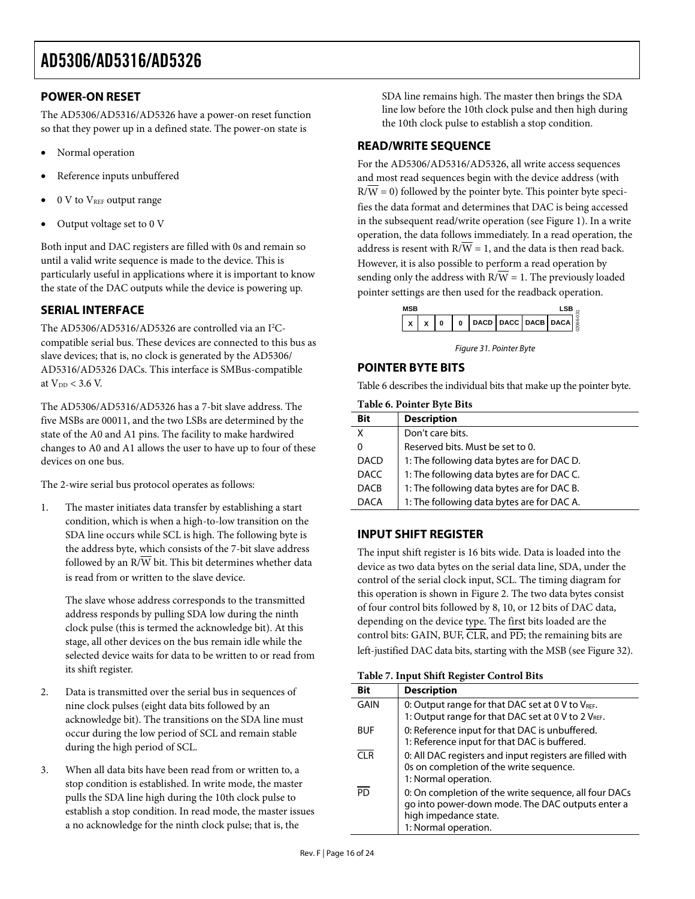### <span id="page-15-0"></span>**POWER-ON RESET**

The AD5306/AD5316/AD5326 have a power-on reset function so that they power up in a defined state. The power-on state is

- Normal operation
- Reference inputs unbuffered
- 0 V to V<sub>REF</sub> output range
- Output voltage set to 0 V

Both input and DAC registers are filled with 0s and remain so until a valid write sequence is made to the device. This is particularly useful in applications where it is important to know the state of the DAC outputs while the device is powering up.

### **SERIAL INTERFACE**

The AD5306/AD5316/AD5326 are controlled via an I<sup>2</sup>Ccompatible serial bus. These devices are connected to this bus as slave devices; that is, no clock is generated by the AD5306/ AD5316/AD5326 DACs. This interface is SMBus-compatible at  $V_{DD}$  < 3.6 V.

<span id="page-15-1"></span>The AD5306/AD5316/AD5326 has a 7-bit slave address. The five MSBs are 00011, and the two LSBs are determined by the state of the A0 and A1 pins. The facility to make hardwired changes to A0 and A1 allows the user to have up to four of these devices on one bus.

The 2-wire serial bus protocol operates as follows:

1. The master initiates data transfer by establishing a start condition, which is when a high-to-low transition on the SDA line occurs while SCL is high. The following byte is the address byte, which consists of the 7-bit slave address followed by an  $R/\overline{W}$  bit. This bit determines whether data is read from or written to the slave device.

The slave whose address corresponds to the transmitted address responds by pulling SDA low during the ninth clock pulse (this is termed the acknowledge bit). At this stage, all other devices on the bus remain idle while the selected device waits for data to be written to or read from its shift register.

- 2. Data is transmitted over the serial bus in sequences of nine clock pulses (eight data bits followed by an acknowledge bit). The transitions on the SDA line must occur during the low period of SCL and remain stable during the high period of SCL.
- 3. When all data bits have been read from or written to, a stop condition is established. In write mode, the master pulls the SDA line high during the 10th clock pulse to establish a stop condition. In read mode, the master issues a no acknowledge for the ninth clock pulse; that is, the

SDA line remains high. The master then brings the SDA line low before the 10th clock pulse and then high during the 10th clock pulse to establish a stop condition.

### **READ/WRITE SEQUENCE**

For the AD5306/AD5316/AD5326, all write access sequences and most read sequences begin with the device address (with  $R/W = 0$ ) followed by the pointer byte. This pointer byte specifies the data format and determines that DAC is being accessed in the subsequent read/write operation (see [Figure 1](#page-0-0)). In a write operation, the data follows immediately. In a read operation, the address is resent with  $R/\overline{W} = 1$ , and the data is then read back. However, it is also possible to perform a read operation by sending only the address with  $R/\overline{W} = 1$ . The previously loaded pointer settings are then used for the readback operation.

|  | 0 | $\Omega$ | <b>DACD DACC DACB DACA &amp;</b> |  |  |
|--|---|----------|----------------------------------|--|--|

Figure 31. Pointer Byte

### **POINTER BYTE BITS**

[Table 6](#page-15-1) describes the individual bits that make up the pointer byte.

|             | Table 6. Pointer Byte Bits                 |
|-------------|--------------------------------------------|
| <b>Bit</b>  | <b>Description</b>                         |
| Χ           | Don't care bits.                           |
| 0           | Reserved bits. Must be set to 0.           |
| <b>DACD</b> | 1: The following data bytes are for DAC D. |
| <b>DACC</b> | 1: The following data bytes are for DAC C. |
| <b>DACB</b> | 1: The following data bytes are for DAC B. |
| DACA        | 1: The following data bytes are for DAC A. |

### **INPUT SHIFT REGISTER**

The input shift register is 16 bits wide. Data is loaded into the device as two data bytes on the serial data line, SDA, under the control of the serial clock input, SCL. The timing diagram for this operation is shown in [Figure 2](#page-5-1). The two data bytes consist of four control bits followed by 8, 10, or 12 bits of DAC data, depending on the device type. The first bits loaded are the control bits: GAIN, BUF,  $\overline{CLR}$ , and  $\overline{PD}$ ; the remaining bits are left-justified DAC data bits, starting with the MSB (see [Figure 32](#page-16-1)).

|--|

| Bit             | <b>Description</b>                                                                                                                                         |
|-----------------|------------------------------------------------------------------------------------------------------------------------------------------------------------|
| GAIN            | 0: Output range for that DAC set at 0 V to VREF.<br>1: Output range for that DAC set at 0 V to 2 VREF.                                                     |
| <b>BUF</b>      | 0: Reference input for that DAC is unbuffered.<br>1: Reference input for that DAC is buffered.                                                             |
| CI <sub>R</sub> | 0: All DAC registers and input registers are filled with<br>Os on completion of the write sequence.<br>1: Normal operation.                                |
| <b>PD</b>       | 0: On completion of the write sequence, all four DACs<br>go into power-down mode. The DAC outputs enter a<br>high impedance state.<br>1: Normal operation. |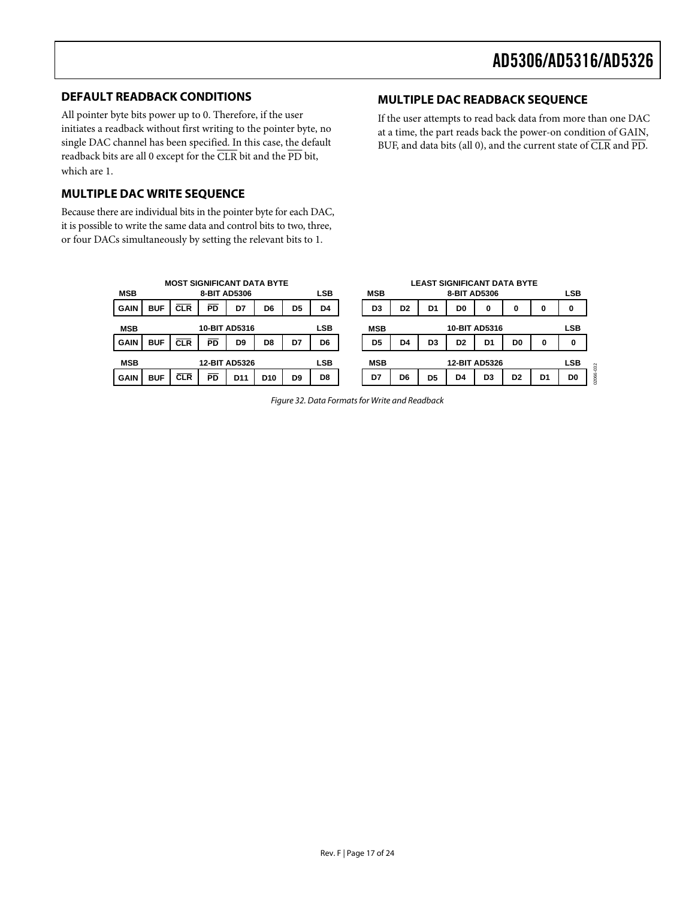### <span id="page-16-0"></span>**DEFAULT READBACK CONDITIONS**

All pointer byte bits power up to 0. Therefore, if the user initiates a readback without first writing to the pointer byte, no single DAC channel has been specified. In this case, the default readback bits are all 0 except for the CLR bit and the PD bit, which are 1.

### **MULTIPLE DAC WRITE SEQUENCE**

Because there are individual bits in the pointer byte for each DAC, it is possible to write the same data and control bits to two, three, or four DACs simultaneously by setting the relevant bits to 1.

### **MULTIPLE DAC READBACK SEQUENCE**

If the user attempts to read back data from more than one DAC at a time, the part reads back the power-on condition of GAIN, BUF, and data bits (all 0), and the current state of CLR and PD.

<span id="page-16-1"></span>

| <b>MOST SIGNIFICANT DATA BYTE</b> |                                    |            |              |                 |                 |                | <b>LEAST SIGNIFICANT DATA BYTE</b> |  |                |                |                |                |                |                |                |                |
|-----------------------------------|------------------------------------|------------|--------------|-----------------|-----------------|----------------|------------------------------------|--|----------------|----------------|----------------|----------------|----------------|----------------|----------------|----------------|
| <b>MSB</b>                        |                                    |            | 8-BIT AD5306 |                 |                 |                | LSB                                |  | <b>MSB</b>     |                |                | 8-BIT AD5306   |                |                |                | <b>LSB</b>     |
| <b>GAIN</b>                       | <b>BUF</b>                         | <b>CLR</b> | <b>PD</b>    | D7              | D <sub>6</sub>  | D <sub>5</sub> | D4                                 |  | D <sub>3</sub> | D <sub>2</sub> | D <sub>1</sub> | D <sub>0</sub> | 0              | 0              | 0              | 0              |
| <b>MSB</b>                        | <b>10-BIT AD5316</b>               |            |              |                 | <b>LSB</b>      |                | <b>10-BIT AD5316</b><br><b>MSB</b> |  |                |                | <b>LSB</b>     |                |                |                |                |                |
| <b>GAIN</b>                       | <b>BUF</b>                         | <b>CLR</b> | PD.          | D9              | D <sub>8</sub>  | D7             | D6                                 |  | D <sub>5</sub> | D4             | D <sub>3</sub> | D <sub>2</sub> | D <sub>1</sub> | D <sub>0</sub> | 0              | 0              |
| <b>MSB</b>                        | <b>LSB</b><br><b>12-BIT AD5326</b> |            |              |                 |                 | <b>MSB</b>     |                                    |  |                | 12-BIT AD5326  |                |                | <b>LSB</b>     |                |                |                |
| <b>GAIN</b>                       | <b>BUF</b>                         | <b>CLR</b> | <b>PD</b>    | D <sub>11</sub> | D <sub>10</sub> | D <sub>9</sub> | D8                                 |  | D7             | D <sub>6</sub> | D <sub>5</sub> | D4             | D <sub>3</sub> | D <sub>2</sub> | D <sub>1</sub> | D <sub>0</sub> |

Figure 32. Data Formats for Write and Readback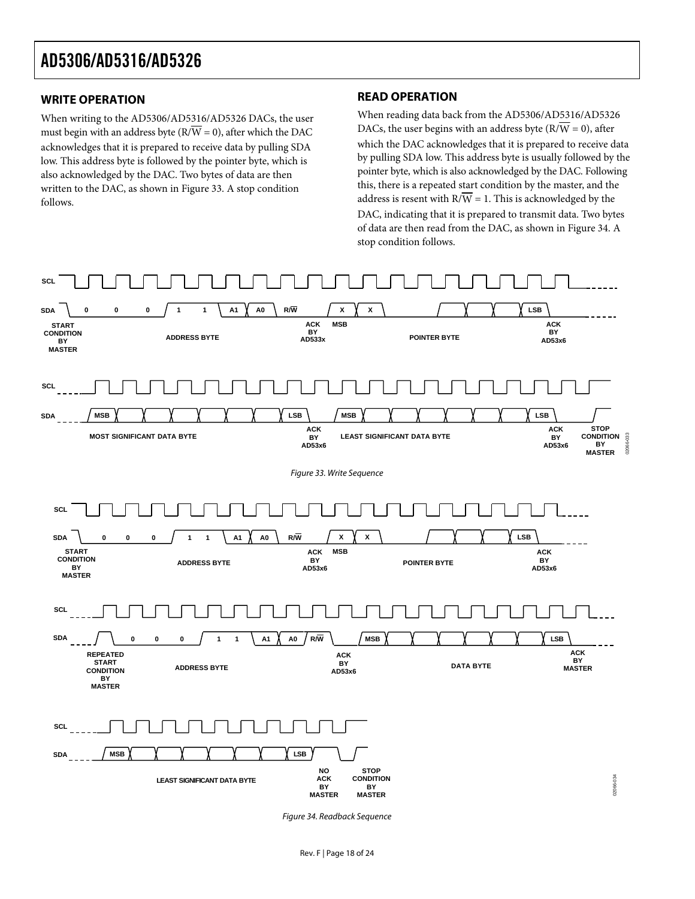### <span id="page-17-0"></span>**WRITE OPERATION**

When writing to the AD5306/AD5316/AD5326 DACs, the user must begin with an address byte ( $\overline{RVW} = 0$ ), after which the DAC acknowledges that it is prepared to receive data by pulling SDA low. This address byte is followed by the pointer byte, which is also acknowledged by the DAC. Two bytes of data are then written to the DAC, as shown in [Figure 33](#page-17-1). A stop condition follows.

### **READ OPERATION**

When reading data back from the AD5306/AD5316/AD5326 DACs, the user begins with an address byte  $(R/\overline{W} = 0)$ , after which the DAC acknowledges that it is prepared to receive data by pulling SDA low. This address byte is usually followed by the pointer byte, which is also acknowledged by the DAC. Following this, there is a repeated start condition by the master, and the address is resent with  $R/\overline{W} = 1$ . This is acknowledged by the DAC, indicating that it is prepared to transmit data. Two bytes of data are then read from the DAC, as shown in [Figure 34.](#page-17-2) A stop condition follows.

<span id="page-17-1"></span>

<span id="page-17-2"></span>Figure 34. Readback Sequence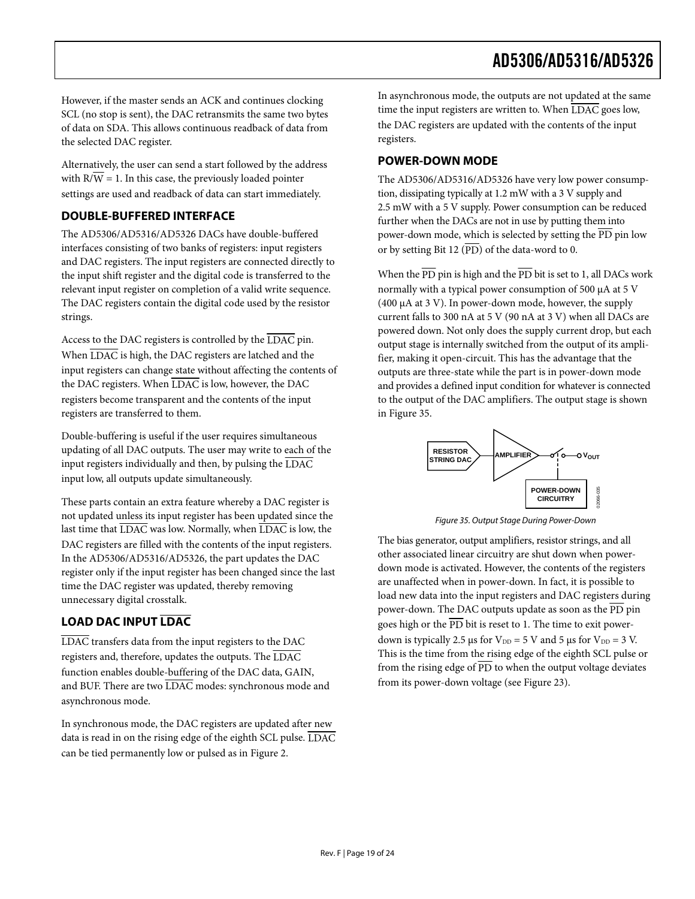<span id="page-18-0"></span>However, if the master sends an ACK and continues clocking SCL (no stop is sent), the DAC retransmits the same two bytes of data on SDA. This allows continuous readback of data from the selected DAC register.

Alternatively, the user can send a start followed by the address with  $R/W = 1$ . In this case, the previously loaded pointer settings are used and readback of data can start immediately.

### **DOUBLE-BUFFERED INTERFACE**

The AD5306/AD5316/AD5326 DACs have double-buffered interfaces consisting of two banks of registers: input registers and DAC registers. The input registers are connected directly to the input shift register and the digital code is transferred to the relevant input register on completion of a valid write sequence. The DAC registers contain the digital code used by the resistor strings.

Access to the DAC registers is controlled by the LDAC pin. When  $\overline{\rm LDAC}$  is high, the DAC registers are latched and the input registers can change state without affecting the contents of the DAC registers. When LDAC is low, however, the DAC registers become transparent and the contents of the input registers are transferred to them.

Double-buffering is useful if the user requires simultaneous updating of all DAC outputs. The user may write to each of the input registers individually and then, by pulsing the LDAC input low, all outputs update simultaneously.

<span id="page-18-1"></span>These parts contain an extra feature whereby a DAC register is not updated unless its input register has been updated since the last time that LDAC was low. Normally, when LDAC is low, the DAC registers are filled with the contents of the input registers. In the AD5306/AD5316/AD5326, the part updates the DAC register only if the input register has been changed since the last time the DAC register was updated, thereby removing unnecessary digital crosstalk.

### **LOAD DAC INPUT LDAC**

LDAC transfers data from the input registers to the DAC registers and, therefore, updates the outputs. The LDAC function enables double-buffering of the DAC data, GAIN, and BUF. There are two LDAC modes: synchronous mode and asynchronous mode.

In synchronous mode, the DAC registers are updated after new data is read in on the rising edge of the eighth SCL pulse. LDAC can be tied permanently low or pulsed as in [Figure 2.](#page-5-1)

In asynchronous mode, the outputs are not updated at the same time the input registers are written to. When  $\overline{\text{LDAC}}$  goes low, the DAC registers are updated with the contents of the input registers.

### **POWER-DOWN MODE**

The AD5306/AD5316/AD5326 have very low power consumption, dissipating typically at 1.2 mW with a 3 V supply and 2.5 mW with a 5 V supply. Power consumption can be reduced further when the DACs are not in use by putting them into power-down mode, which is selected by setting the PD pin low or by setting Bit 12  $(\overline{PD})$  of the data-word to 0.

When the  $\overline{PD}$  pin is high and the  $\overline{PD}$  bit is set to 1, all DACs work normally with a typical power consumption of 500 μA at 5 V (400 μA at 3 V). In power-down mode, however, the supply current falls to 300 nA at 5 V (90 nA at 3 V) when all DACs are powered down. Not only does the supply current drop, but each output stage is internally switched from the output of its amplifier, making it open-circuit. This has the advantage that the outputs are three-state while the part is in power-down mode and provides a defined input condition for whatever is connected to the output of the DAC amplifiers. The output stage is shown in [Figure 35](#page-18-1).



Figure 35. Output Stage During Power-Down

The bias generator, output amplifiers, resistor strings, and all other associated linear circuitry are shut down when powerdown mode is activated. However, the contents of the registers are unaffected when in power-down. In fact, it is possible to load new data into the input registers and DAC registers during power-down. The DAC outputs update as soon as the PD pin goes high or the  $\overline{PD}$  bit is reset to 1. The time to exit powerdown is typically 2.5 μs for  $V_{DD} = 5$  V and 5 μs for  $V_{DD} = 3$  V. This is the time from the rising edge of the eighth SCL pulse or from the rising edge of  $\overline{PD}$  to when the output voltage deviates from its power-down voltage (see [Figure 23](#page-12-0)).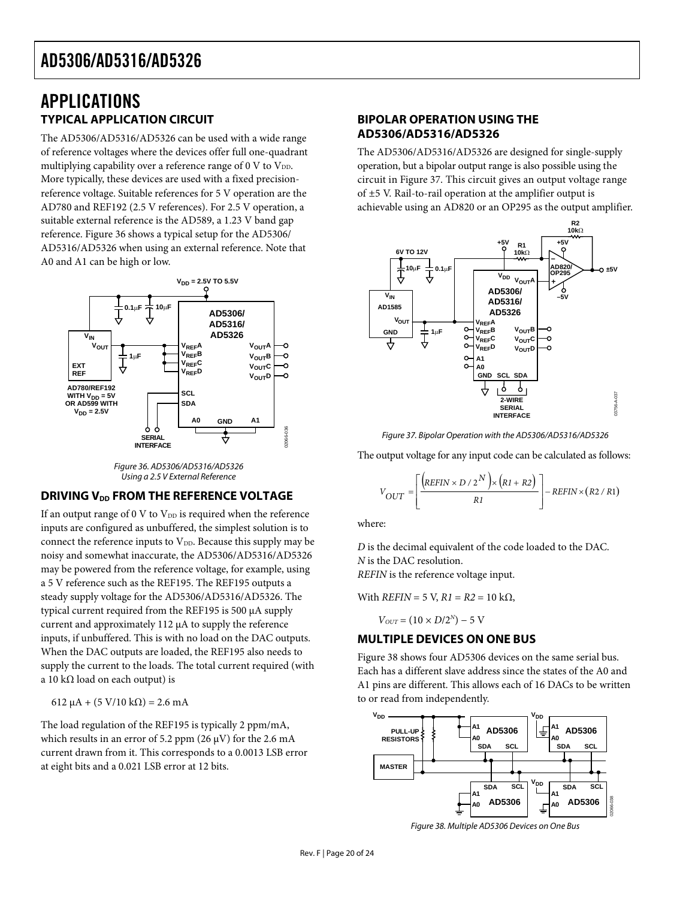### <span id="page-19-0"></span>APPLICATIONS **TYPICAL APPLICATION CIRCUIT**

The AD5306/AD5316/AD5326 can be used with a wide range of reference voltages where the devices offer full one-quadrant multiplying capability over a reference range of 0 V to  $V_{DD}$ . More typically, these devices are used with a fixed precisionreference voltage. Suitable references for 5 V operation are the AD780 and REF192 (2.5 V references). For 2.5 V operation, a suitable external reference is the AD589, a 1.23 V band gap reference. [Figure 36](#page-19-1) shows a typical setup for the AD5306/ AD5316/AD5326 when using an external reference. Note that A0 and A1 can be high or low.





### <span id="page-19-2"></span><span id="page-19-1"></span>**DRIVING V<sub>DD</sub> FROM THE REFERENCE VOLTAGE**

If an output range of 0 V to  $V_{DD}$  is required when the reference inputs are configured as unbuffered, the simplest solution is to connect the reference inputs to  $V_{DD}$ . Because this supply may be noisy and somewhat inaccurate, the AD5306/AD5316/AD5326 may be powered from the reference voltage, for example, using a 5 V reference such as the REF195. The REF195 outputs a steady supply voltage for the AD5306/AD5316/AD5326. The typical current required from the REF195 is 500 μA supply current and approximately 112 μA to supply the reference inputs, if unbuffered. This is with no load on the DAC outputs. When the DAC outputs are loaded, the REF195 also needs to supply the current to the loads. The total current required (with a 10 kΩ load on each output) is

612  $\mu$ A + (5 V/10 kΩ) = 2.6 mA

<span id="page-19-3"></span>The load regulation of the REF195 is typically 2 ppm/mA, which results in an error of 5.2 ppm (26  $\mu$ V) for the 2.6 mA current drawn from it. This corresponds to a 0.0013 LSB error at eight bits and a 0.021 LSB error at 12 bits.

### **BIPOLAR OPERATION USING THE AD5306/AD5316/AD5326**

The AD5306/AD5316/AD5326 are designed for single-supply operation, but a bipolar output range is also possible using the circuit in [Figure 37](#page-19-2). This circuit gives an output voltage range of ±5 V. Rail-to-rail operation at the amplifier output is achievable using an AD820 or an OP295 as the output amplifier.



Figure 37. Bipolar Operation with the AD5306/AD5316/AD5326

The output voltage for any input code can be calculated as follows:

$$
V_{OUT} = \left[ \frac{\left( REFIN \times D / 2^N \right) \times \left( R1 + R2 \right)}{R1} \right] - REFIN \times \left( R2 / R1 \right)
$$

where:

*D* is the decimal equivalent of the code loaded to the DAC. *N* is the DAC resolution.

*REFIN* is the reference voltage input.

With 
$$
REFIN = 5
$$
 V,  $R1 = R2 = 10$  k $\Omega$ ,

 $V_{OUT} = (10 \times D/2^N) - 5$  V

### **MULTIPLE DEVICES ON ONE BUS**

[Figure 38](#page-19-3) shows four AD5306 devices on the same serial bus. Each has a different slave address since the states of the A0 and A1 pins are different. This allows each of 16 DACs to be written to or read from independently.



Figure 38. Multiple AD5306 Devices on One Bus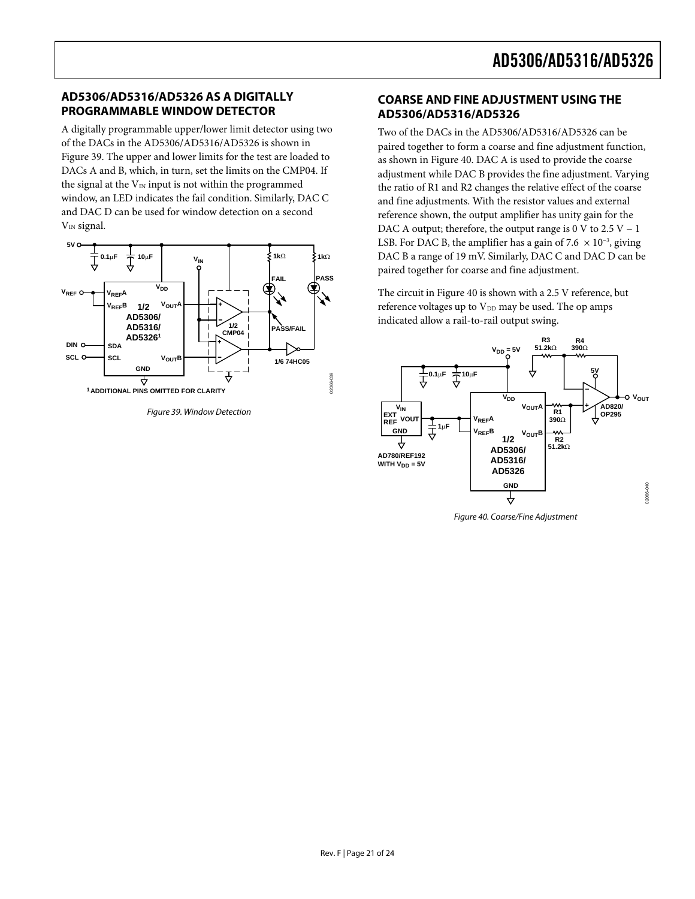### <span id="page-20-0"></span>**AD5306/AD5316/AD5326 AS A DIGITALLY PROGRAMMABLE WINDOW DETECTOR**

A digitally programmable upper/lower limit detector using two of the DACs in the AD5306/AD5316/AD5326 is shown in [Figure 39](#page-20-1). The upper and lower limits for the test are loaded to DACs A and B, which, in turn, set the limits on the CMP04. If the signal at the  $V_{IN}$  input is not within the programmed window, an LED indicates the fail condition. Similarly, DAC C and DAC D can be used for window detection on a second  $V_{IN}$  signal.



<span id="page-20-2"></span><span id="page-20-1"></span>Figure 39. Window Detection

### **COARSE AND FINE ADJUSTMENT USING THE AD5306/AD5316/AD5326**

Two of the DACs in the AD5306/AD5316/AD5326 can be paired together to form a coarse and fine adjustment function, as shown in [Figure 40](#page-20-2). DAC A is used to provide the coarse adjustment while DAC B provides the fine adjustment. Varying the ratio of R1 and R2 changes the relative effect of the coarse and fine adjustments. With the resistor values and external reference shown, the output amplifier has unity gain for the DAC A output; therefore, the output range is 0 V to 2.5 V – 1 LSB. For DAC B, the amplifier has a gain of 7.6  $\times$  10<sup>-3</sup>, giving DAC B a range of 19 mV. Similarly, DAC C and DAC D can be paired together for coarse and fine adjustment.

The circuit in [Figure 40](#page-20-2) is shown with a 2.5 V reference, but reference voltages up to  $V_{DD}$  may be used. The op amps indicated allow a rail-to-rail output swing.



Figure 40. Coarse/Fine Adjustment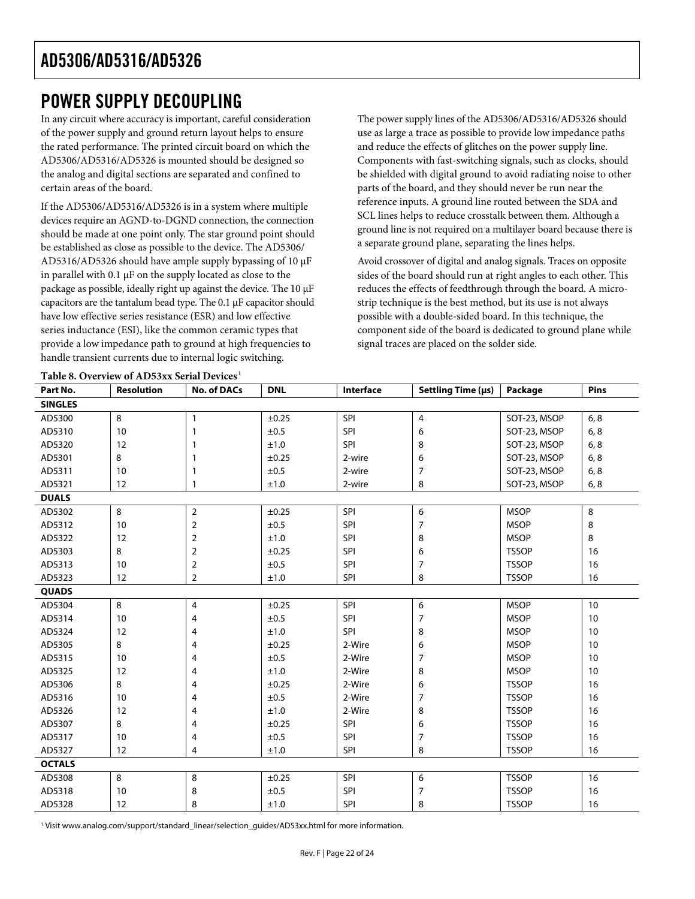### <span id="page-21-0"></span>POWER SUPPLY DECOUPLING

In any circuit where accuracy is important, careful consideration of the power supply and ground return layout helps to ensure the rated performance. The printed circuit board on which the AD5306/AD5316/AD5326 is mounted should be designed so the analog and digital sections are separated and confined to certain areas of the board.

If the AD5306/AD5316/AD5326 is in a system where multiple devices require an AGND-to-DGND connection, the connection should be made at one point only. The star ground point should be established as close as possible to the device. The AD5306/ AD5316/AD5326 should have ample supply bypassing of 10 μF in parallel with 0.1 μF on the supply located as close to the package as possible, ideally right up against the device. The 10 μF capacitors are the tantalum bead type. The 0.1 μF capacitor should have low effective series resistance (ESR) and low effective series inductance (ESI), like the common ceramic types that provide a low impedance path to ground at high frequencies to handle transient currents due to internal logic switching.

The power supply lines of the AD5306/AD5316/AD5326 should use as large a trace as possible to provide low impedance paths and reduce the effects of glitches on the power supply line. Components with fast-switching signals, such as clocks, should be shielded with digital ground to avoid radiating noise to other parts of the board, and they should never be run near the reference inputs. A ground line routed between the SDA and SCL lines helps to reduce crosstalk between them. Although a ground line is not required on a multilayer board because there is a separate ground plane, separating the lines helps.

Avoid crossover of digital and analog signals. Traces on opposite sides of the board should run at right angles to each other. This reduces the effects of feedthrough through the board. A microstrip technique is the best method, but its use is not always possible with a double-sided board. In this technique, the component side of the board is dedicated to ground plane while signal traces are placed on the solder side.

| Part No.       | <b>Resolution</b> | <b>No. of DACs</b> | <b>DNL</b> | Interface  | Settling Time (µs) | Package      | <b>Pins</b> |  |  |
|----------------|-------------------|--------------------|------------|------------|--------------------|--------------|-------------|--|--|
| <b>SINGLES</b> |                   |                    |            |            |                    |              |             |  |  |
| AD5300         | 8                 | 1                  | ±0.25      | SPI        | 4                  | SOT-23, MSOP | 6, 8        |  |  |
| AD5310         | 10                | $\mathbf{1}$       | ±0.5       | SPI        | 6                  | SOT-23, MSOP | 6, 8        |  |  |
| AD5320         | 12                | 1                  | ±1.0       | SPI        | 8                  | SOT-23, MSOP | 6, 8        |  |  |
| AD5301         | 8                 | -1                 | ±0.25      | 2-wire     | 6                  | SOT-23, MSOP | 6, 8        |  |  |
| AD5311         | 10                | 1                  | ±0.5       | 2-wire     | 7                  | SOT-23, MSOP | 6, 8        |  |  |
| AD5321         | 12                | 1                  | ±1.0       | 2-wire     | 8                  | SOT-23, MSOP | 6, 8        |  |  |
| <b>DUALS</b>   |                   |                    |            |            |                    |              |             |  |  |
| AD5302         | 8                 | $\overline{2}$     | ±0.25      | SPI        | 6                  | <b>MSOP</b>  | 8           |  |  |
| AD5312         | 10                | $\overline{2}$     | ±0.5       | SPI        | $\overline{7}$     | <b>MSOP</b>  | 8           |  |  |
| AD5322         | 12                | $\overline{2}$     | ±1.0       | <b>SPI</b> | 8                  | <b>MSOP</b>  | 8           |  |  |
| AD5303         | 8                 | $\overline{2}$     | ±0.25      | SPI        | 6                  | <b>TSSOP</b> | 16          |  |  |
| AD5313         | 10                | $\overline{2}$     | ±0.5       | SPI        | $\overline{7}$     | <b>TSSOP</b> | 16          |  |  |
| AD5323         | 12                | $\overline{2}$     | ±1.0       | SPI        | 8                  | <b>TSSOP</b> | 16          |  |  |
| <b>QUADS</b>   |                   |                    |            |            |                    |              |             |  |  |
| AD5304         | 8                 | $\overline{4}$     | ±0.25      | SPI        | 6                  | <b>MSOP</b>  | 10          |  |  |
| AD5314         | 10                | 4                  | ±0.5       | SPI        | $\overline{7}$     | <b>MSOP</b>  | 10          |  |  |
| AD5324         | 12                | 4                  | ±1.0       | SPI        | 8                  | <b>MSOP</b>  | 10          |  |  |
| AD5305         | 8                 | 4                  | ±0.25      | 2-Wire     | 6                  | <b>MSOP</b>  | 10          |  |  |
| AD5315         | 10                | 4                  | ±0.5       | 2-Wire     | $\overline{7}$     | <b>MSOP</b>  | 10          |  |  |
| AD5325         | 12                | 4                  | ±1.0       | 2-Wire     | 8                  | <b>MSOP</b>  | 10          |  |  |
| AD5306         | 8                 | 4                  | ±0.25      | 2-Wire     | 6                  | <b>TSSOP</b> | 16          |  |  |
| AD5316         | 10                | 4                  | ±0.5       | 2-Wire     | $\overline{7}$     | <b>TSSOP</b> | 16          |  |  |
| AD5326         | 12                | 4                  | ±1.0       | 2-Wire     | 8                  | <b>TSSOP</b> | 16          |  |  |
| AD5307         | 8                 | 4                  | ±0.25      | SPI        | 6                  | <b>TSSOP</b> | 16          |  |  |
| AD5317         | 10                | 4                  | ±0.5       | SPI        | $\overline{7}$     | <b>TSSOP</b> | 16          |  |  |
| AD5327         | 12                | 4                  | ±1.0       | SPI        | 8                  | <b>TSSOP</b> | 16          |  |  |
| <b>OCTALS</b>  |                   |                    |            |            |                    |              |             |  |  |
| AD5308         | 8                 | 8                  | ±0.25      | SPI        | 6                  | <b>TSSOP</b> | 16          |  |  |
| AD5318         | 10                | 8                  | ±0.5       | SPI        | $\overline{7}$     | <b>TSSOP</b> | 16          |  |  |
| AD5328         | 12                | 8                  | ±1.0       | <b>SPI</b> | 8                  | <b>TSSOP</b> | 16          |  |  |

#### <span id="page-21-1"></span>**Table 8. Overview of AD53xx Serial Device[s](#page-21-1)** <sup>1</sup>

1 Visit www.analog.com/support/standard\_linear/selection\_guides/AD53xx.html for more information.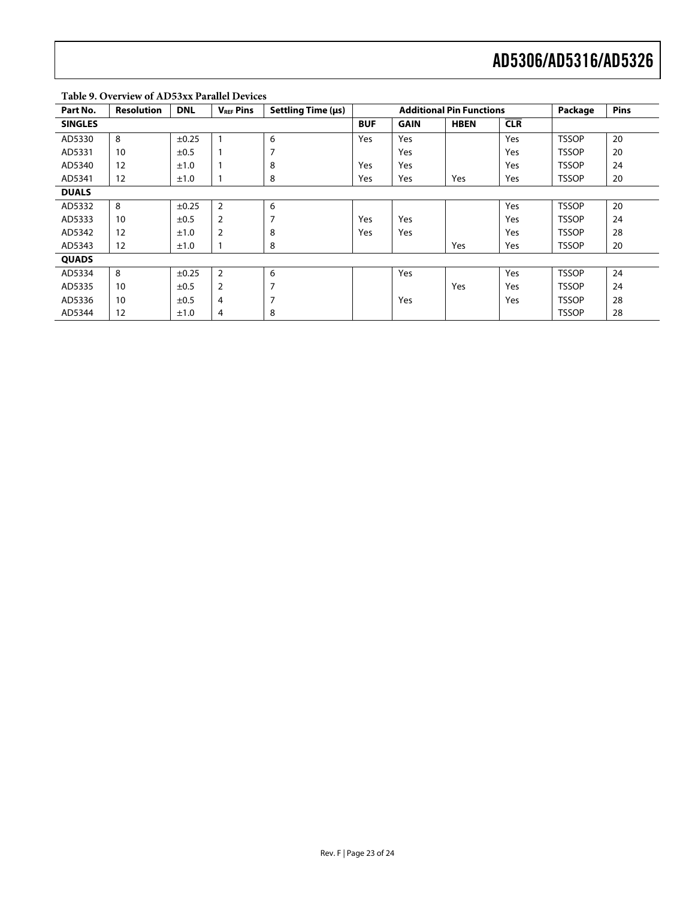| Part No.       | <b>Resolution</b> | <b>DNL</b> | <b>VREF Pins</b> | Settling Time (us) | <b>Additional Pin Functions</b> |             |             |            | Package      | Pins |
|----------------|-------------------|------------|------------------|--------------------|---------------------------------|-------------|-------------|------------|--------------|------|
| <b>SINGLES</b> |                   |            |                  |                    | <b>BUF</b>                      | <b>GAIN</b> | <b>HBEN</b> | <b>CLR</b> |              |      |
| AD5330         | 8                 | $\pm 0.25$ |                  | 6                  | <b>Yes</b>                      | Yes         |             | Yes        | <b>TSSOP</b> | 20   |
| AD5331         | 10                | ±0.5       |                  | 7                  |                                 | Yes         |             | Yes        | <b>TSSOP</b> | 20   |
| AD5340         | 12                | ±1.0       |                  | 8                  | <b>Yes</b>                      | Yes         |             | Yes        | <b>TSSOP</b> | 24   |
| AD5341         | 12                | ±1.0       |                  | 8                  | Yes                             | Yes         | Yes         | Yes        | <b>TSSOP</b> | 20   |
| <b>DUALS</b>   |                   |            |                  |                    |                                 |             |             |            |              |      |
| AD5332         | 8                 | $\pm 0.25$ | $\overline{2}$   | 6                  |                                 |             |             | Yes        | <b>TSSOP</b> | 20   |
| AD5333         | 10                | $\pm 0.5$  | $\overline{2}$   | 7                  | Yes                             | Yes         |             | Yes        | <b>TSSOP</b> | 24   |
| AD5342         | 12                | ±1.0       | $\overline{2}$   | 8                  | Yes                             | Yes         |             | Yes        | <b>TSSOP</b> | 28   |
| AD5343         | 12                | ±1.0       |                  | 8                  |                                 |             | Yes         | Yes        | <b>TSSOP</b> | 20   |
| <b>QUADS</b>   |                   |            |                  |                    |                                 |             |             |            |              |      |
| AD5334         | 8                 | ±0.25      | $\overline{2}$   | 6                  |                                 | Yes         |             | Yes        | <b>TSSOP</b> | 24   |
| AD5335         | 10                | $\pm 0.5$  | $\overline{2}$   | 7                  |                                 |             | Yes         | Yes        | <b>TSSOP</b> | 24   |
| AD5336         | 10                | ±0.5       | 4                | 7                  |                                 | Yes         |             | Yes        | <b>TSSOP</b> | 28   |
| AD5344         | 12                | ±1.0       | 4                | 8                  |                                 |             |             |            | <b>TSSOP</b> | 28   |

### **Table 9. Overview of AD53xx Parallel Devices**